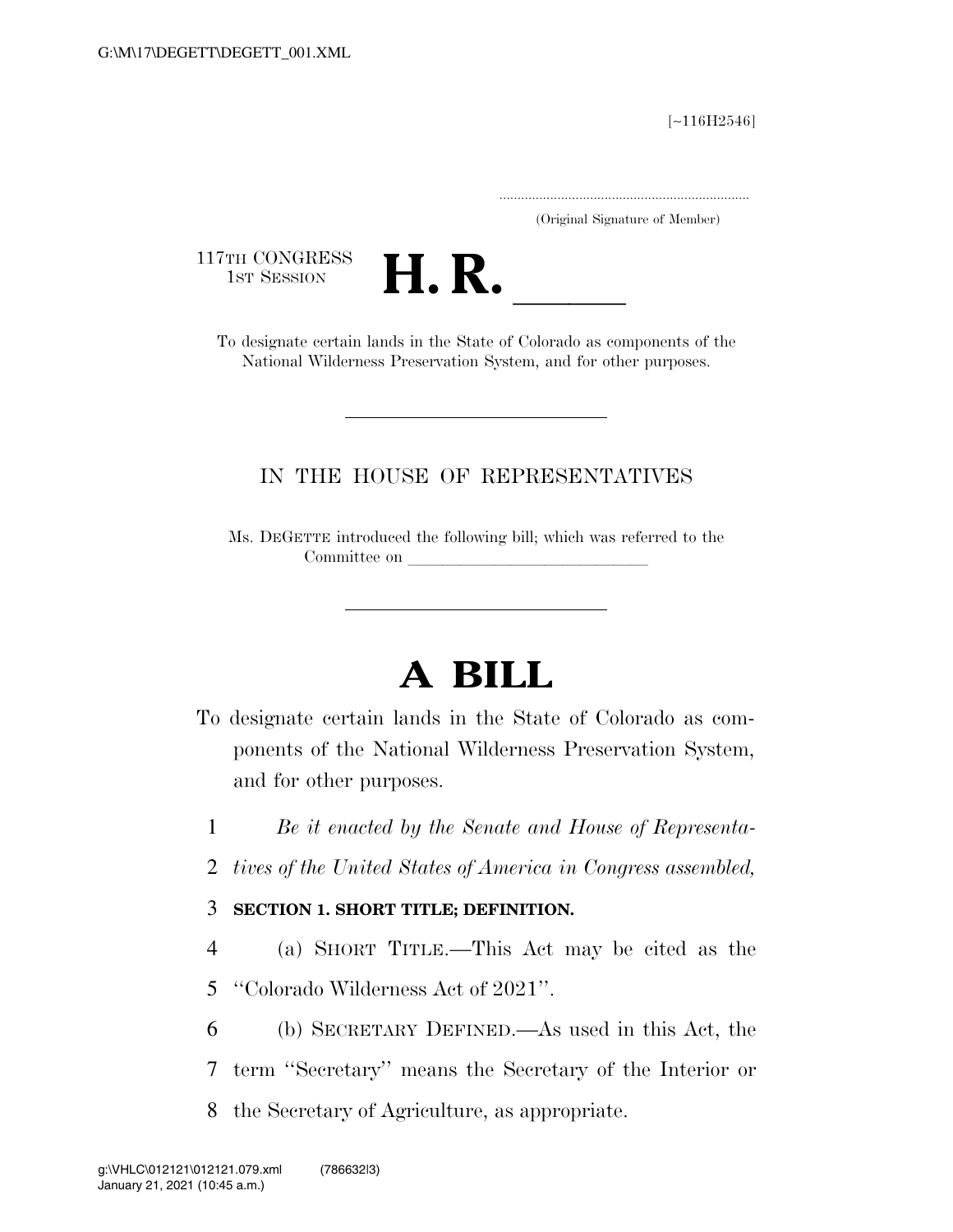[∼116H2546]

.....................................................................

(Original Signature of Member)

117TH CONGRESS<br>1st Session



TTH CONGRESS<br>
1ST SESSION<br>
To designate certain lands in the State of Colorado as components of the National Wilderness Preservation System, and for other purposes.

### IN THE HOUSE OF REPRESENTATIVES

Ms. DEGETTE introduced the following bill; which was referred to the Committee on

# **A BILL**

- To designate certain lands in the State of Colorado as components of the National Wilderness Preservation System, and for other purposes.
	- 1 *Be it enacted by the Senate and House of Representa-*
	- 2 *tives of the United States of America in Congress assembled,*

### 3 **SECTION 1. SHORT TITLE; DEFINITION.**

- 4 (a) SHORT TITLE.—This Act may be cited as the
- 5 ''Colorado Wilderness Act of 2021''.
- 6 (b) SECRETARY DEFINED.—As used in this Act, the
- 7 term ''Secretary'' means the Secretary of the Interior or
- 8 the Secretary of Agriculture, as appropriate.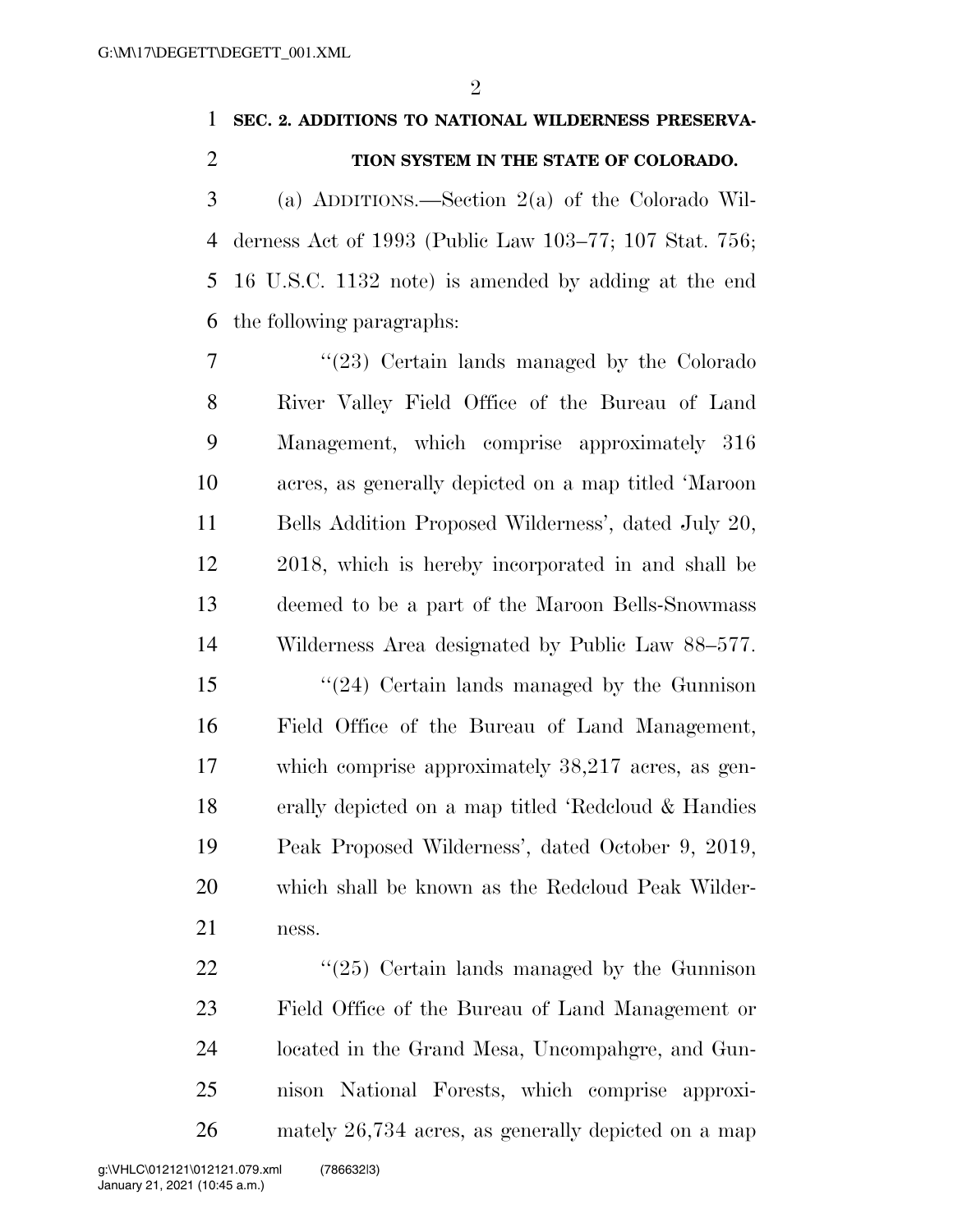$\mathfrak{D}$ 

## **SEC. 2. ADDITIONS TO NATIONAL WILDERNESS PRESERVA-TION SYSTEM IN THE STATE OF COLORADO.**

 (a) ADDITIONS.—Section 2(a) of the Colorado Wil- derness Act of 1993 (Public Law 103–77; 107 Stat. 756; 16 U.S.C. 1132 note) is amended by adding at the end the following paragraphs:

 ''(23) Certain lands managed by the Colorado River Valley Field Office of the Bureau of Land Management, which comprise approximately 316 acres, as generally depicted on a map titled 'Maroon Bells Addition Proposed Wilderness', dated July 20, 2018, which is hereby incorporated in and shall be deemed to be a part of the Maroon Bells-Snowmass Wilderness Area designated by Public Law 88–577. ''(24) Certain lands managed by the Gunnison Field Office of the Bureau of Land Management, which comprise approximately 38,217 acres, as gen- erally depicted on a map titled 'Redcloud & Handies Peak Proposed Wilderness', dated October 9, 2019, which shall be known as the Redcloud Peak Wilder-

ness.

22 ''(25) Certain lands managed by the Gunnison Field Office of the Bureau of Land Management or located in the Grand Mesa, Uncompahgre, and Gun- nison National Forests, which comprise approxi-mately 26,734 acres, as generally depicted on a map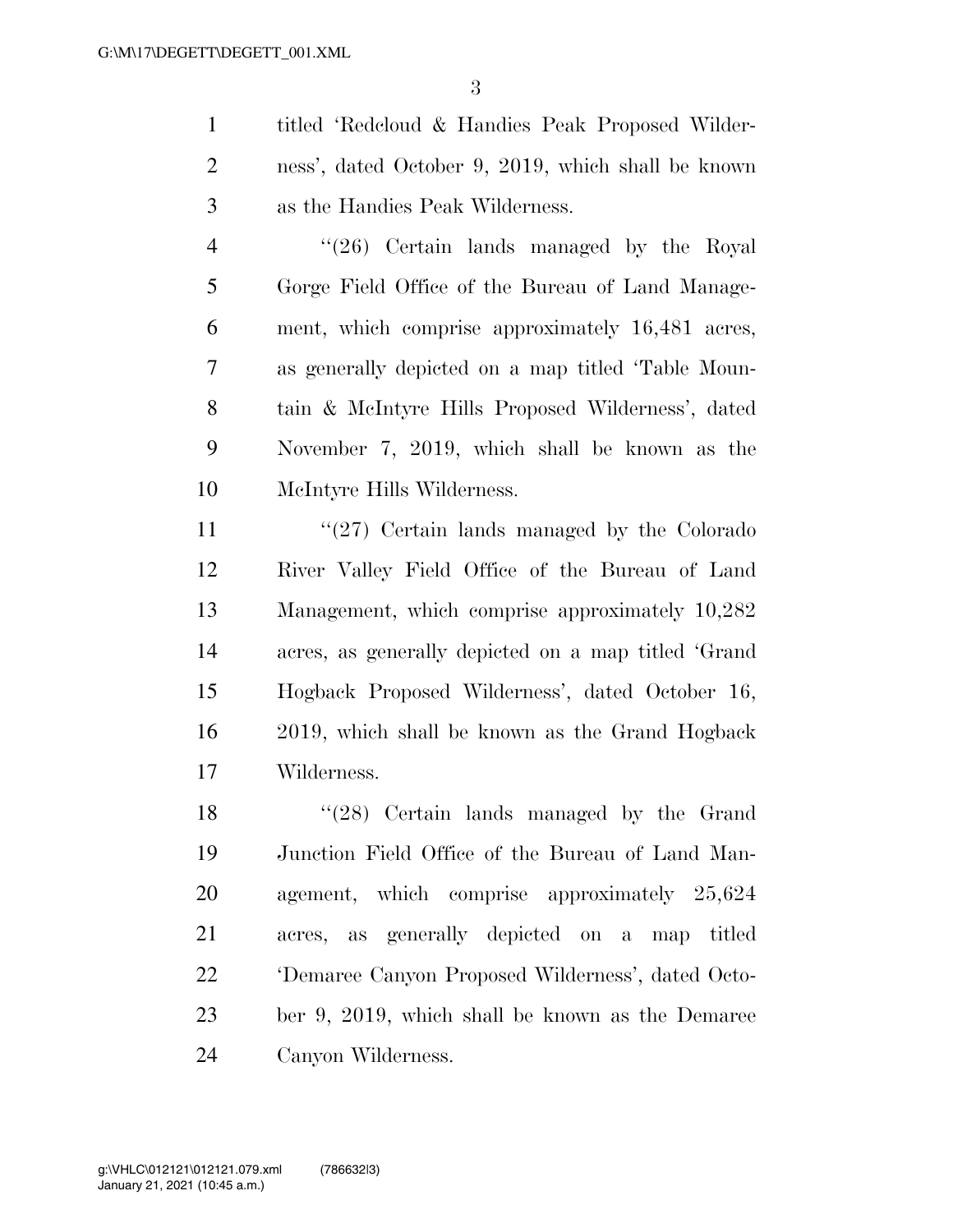titled 'Redcloud & Handies Peak Proposed Wilder- ness', dated October 9, 2019, which shall be known as the Handies Peak Wilderness.

4 ''(26) Certain lands managed by the Royal Gorge Field Office of the Bureau of Land Manage- ment, which comprise approximately 16,481 acres, as generally depicted on a map titled 'Table Moun- tain & McIntyre Hills Proposed Wilderness', dated November 7, 2019, which shall be known as the McIntyre Hills Wilderness.

11 ''(27) Certain lands managed by the Colorado River Valley Field Office of the Bureau of Land Management, which comprise approximately 10,282 acres, as generally depicted on a map titled 'Grand Hogback Proposed Wilderness', dated October 16, 2019, which shall be known as the Grand Hogback Wilderness.

18 ''(28) Certain lands managed by the Grand Junction Field Office of the Bureau of Land Man- agement, which comprise approximately 25,624 acres, as generally depicted on a map titled 'Demaree Canyon Proposed Wilderness', dated Octo- ber 9, 2019, which shall be known as the Demaree Canyon Wilderness.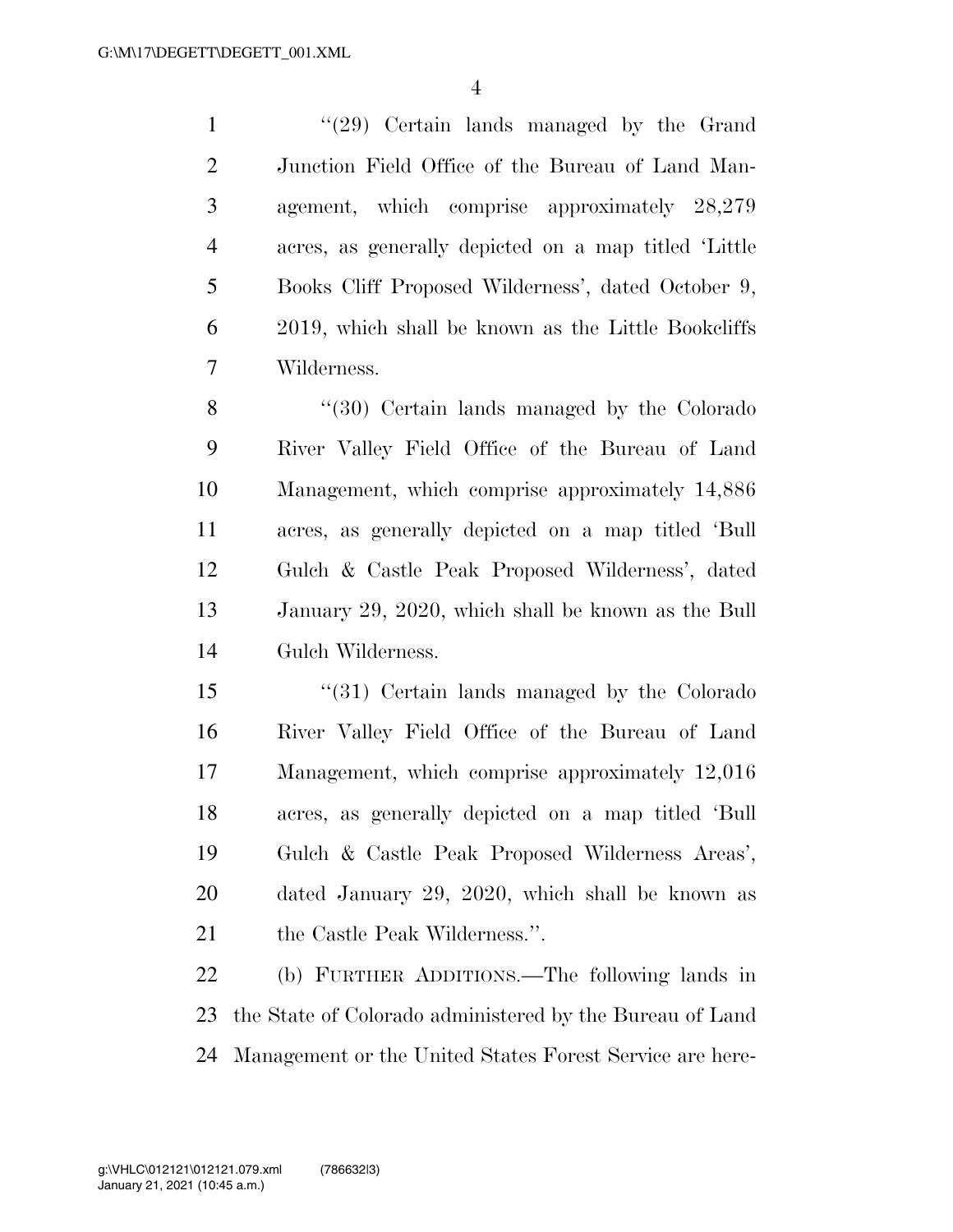1 ''(29) Certain lands managed by the Grand Junction Field Office of the Bureau of Land Man- agement, which comprise approximately 28,279 acres, as generally depicted on a map titled 'Little Books Cliff Proposed Wilderness', dated October 9, 2019, which shall be known as the Little Bookcliffs Wilderness.

8 "(30) Certain lands managed by the Colorado River Valley Field Office of the Bureau of Land Management, which comprise approximately 14,886 acres, as generally depicted on a map titled 'Bull Gulch & Castle Peak Proposed Wilderness', dated January 29, 2020, which shall be known as the Bull Gulch Wilderness.

 ''(31) Certain lands managed by the Colorado River Valley Field Office of the Bureau of Land Management, which comprise approximately 12,016 acres, as generally depicted on a map titled 'Bull Gulch & Castle Peak Proposed Wilderness Areas', dated January 29, 2020, which shall be known as 21 the Castle Peak Wilderness.".

 (b) FURTHER ADDITIONS.—The following lands in the State of Colorado administered by the Bureau of Land Management or the United States Forest Service are here-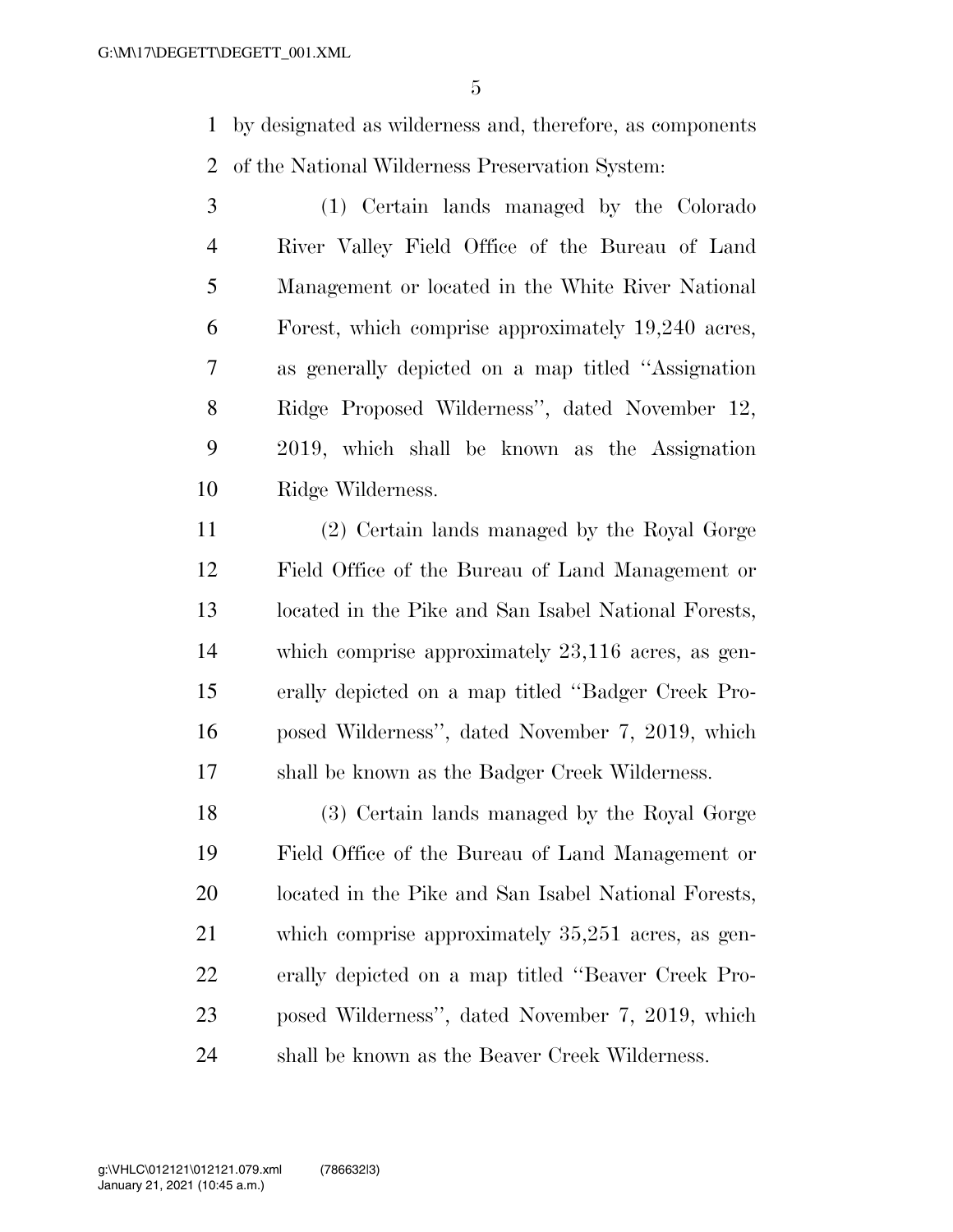by designated as wilderness and, therefore, as components of the National Wilderness Preservation System:

 (1) Certain lands managed by the Colorado River Valley Field Office of the Bureau of Land Management or located in the White River National Forest, which comprise approximately 19,240 acres, as generally depicted on a map titled ''Assignation Ridge Proposed Wilderness'', dated November 12, 2019, which shall be known as the Assignation Ridge Wilderness.

 (2) Certain lands managed by the Royal Gorge Field Office of the Bureau of Land Management or located in the Pike and San Isabel National Forests, which comprise approximately 23,116 acres, as gen- erally depicted on a map titled ''Badger Creek Pro- posed Wilderness'', dated November 7, 2019, which shall be known as the Badger Creek Wilderness.

 (3) Certain lands managed by the Royal Gorge Field Office of the Bureau of Land Management or located in the Pike and San Isabel National Forests, which comprise approximately 35,251 acres, as gen- erally depicted on a map titled ''Beaver Creek Pro- posed Wilderness'', dated November 7, 2019, which shall be known as the Beaver Creek Wilderness.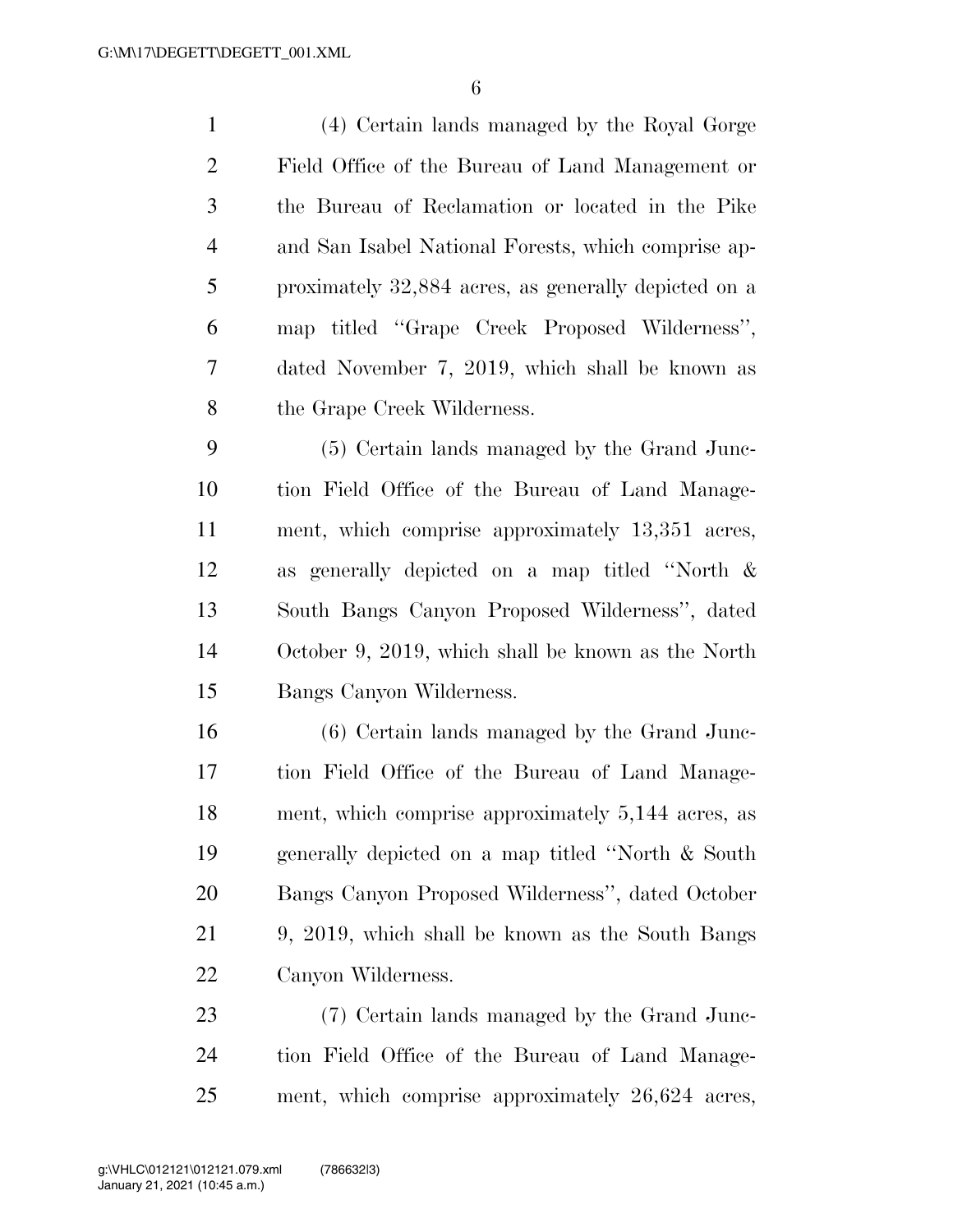(4) Certain lands managed by the Royal Gorge Field Office of the Bureau of Land Management or the Bureau of Reclamation or located in the Pike and San Isabel National Forests, which comprise ap- proximately 32,884 acres, as generally depicted on a map titled ''Grape Creek Proposed Wilderness'', dated November 7, 2019, which shall be known as the Grape Creek Wilderness. (5) Certain lands managed by the Grand Junc- tion Field Office of the Bureau of Land Manage- ment, which comprise approximately 13,351 acres, as generally depicted on a map titled ''North & South Bangs Canyon Proposed Wilderness'', dated October 9, 2019, which shall be known as the North Bangs Canyon Wilderness. (6) Certain lands managed by the Grand Junc- tion Field Office of the Bureau of Land Manage- ment, which comprise approximately 5,144 acres, as generally depicted on a map titled ''North & South Bangs Canyon Proposed Wilderness'', dated October 9, 2019, which shall be known as the South Bangs Canyon Wilderness. (7) Certain lands managed by the Grand Junc-

 tion Field Office of the Bureau of Land Manage-ment, which comprise approximately 26,624 acres,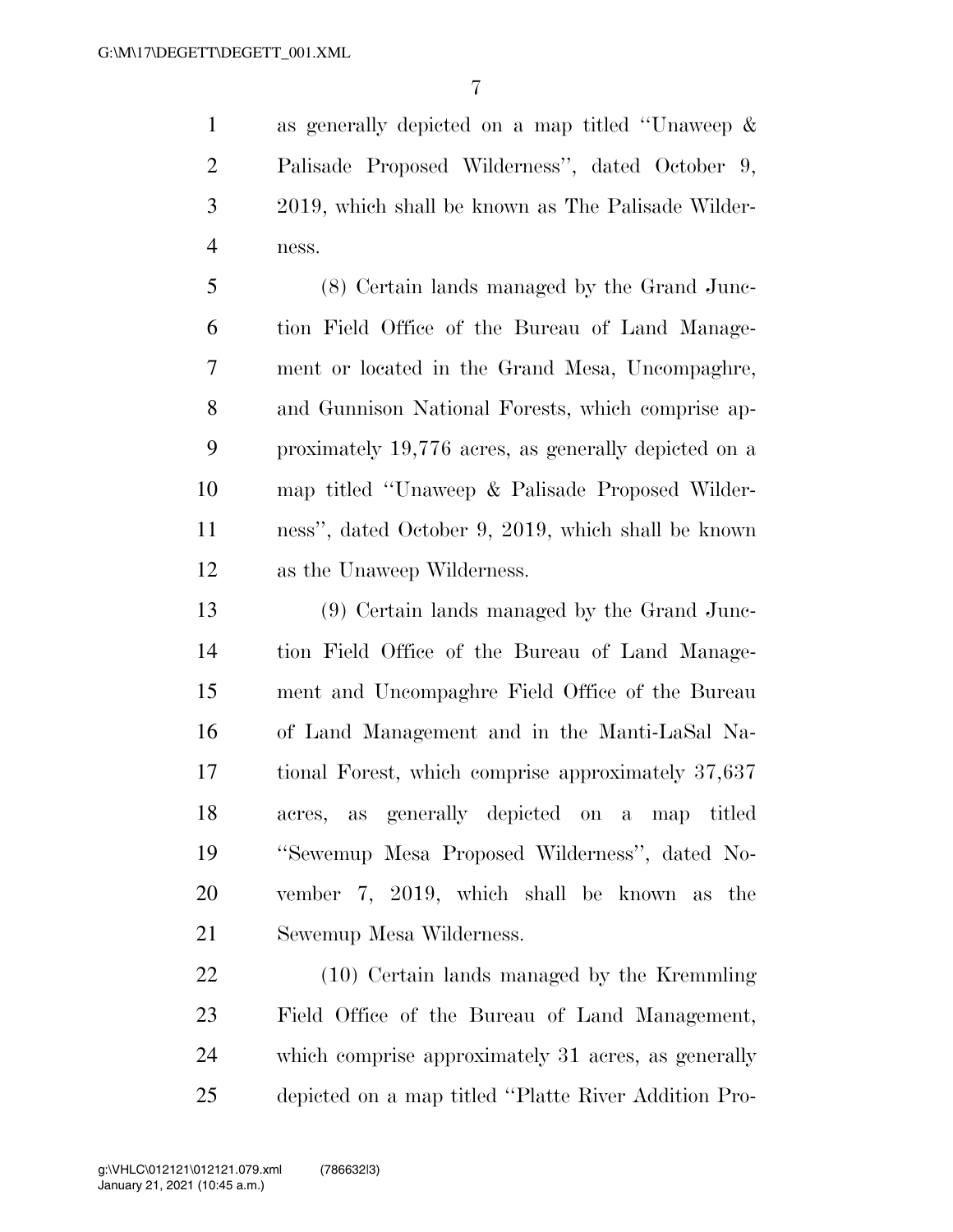as generally depicted on a map titled ''Unaweep & Palisade Proposed Wilderness'', dated October 9, 2019, which shall be known as The Palisade Wilder-ness.

 (8) Certain lands managed by the Grand Junc- tion Field Office of the Bureau of Land Manage- ment or located in the Grand Mesa, Uncompaghre, and Gunnison National Forests, which comprise ap- proximately 19,776 acres, as generally depicted on a map titled ''Unaweep & Palisade Proposed Wilder- ness'', dated October 9, 2019, which shall be known as the Unaweep Wilderness.

 (9) Certain lands managed by the Grand Junc- tion Field Office of the Bureau of Land Manage- ment and Uncompaghre Field Office of the Bureau of Land Management and in the Manti-LaSal Na- tional Forest, which comprise approximately 37,637 acres, as generally depicted on a map titled ''Sewemup Mesa Proposed Wilderness'', dated No- vember 7, 2019, which shall be known as the Sewemup Mesa Wilderness.

 (10) Certain lands managed by the Kremmling Field Office of the Bureau of Land Management, which comprise approximately 31 acres, as generally depicted on a map titled ''Platte River Addition Pro-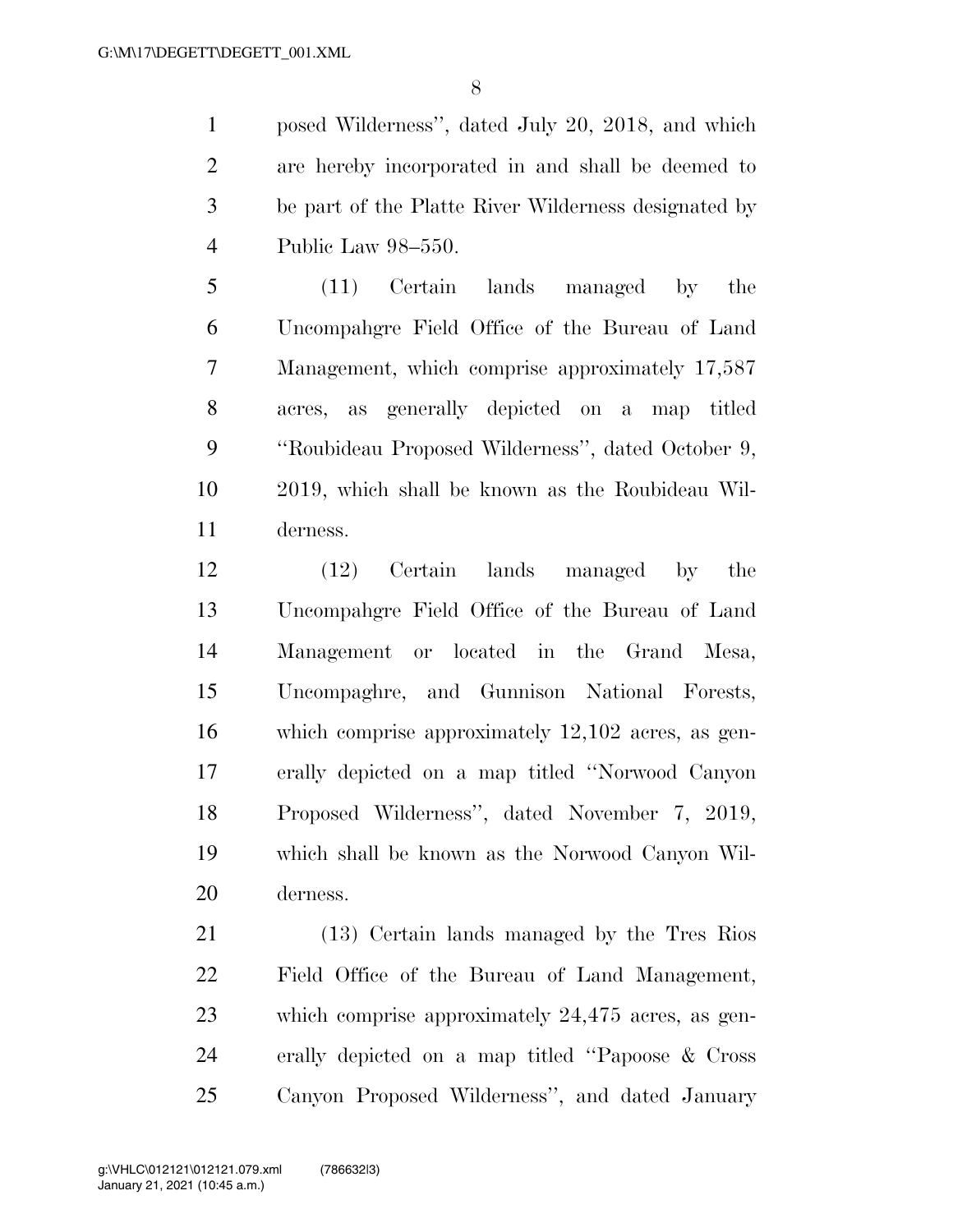posed Wilderness'', dated July 20, 2018, and which are hereby incorporated in and shall be deemed to be part of the Platte River Wilderness designated by Public Law 98–550.

 (11) Certain lands managed by the Uncompahgre Field Office of the Bureau of Land Management, which comprise approximately 17,587 acres, as generally depicted on a map titled ''Roubideau Proposed Wilderness'', dated October 9, 2019, which shall be known as the Roubideau Wil-derness.

 (12) Certain lands managed by the Uncompahgre Field Office of the Bureau of Land Management or located in the Grand Mesa, Uncompaghre, and Gunnison National Forests, which comprise approximately 12,102 acres, as gen- erally depicted on a map titled ''Norwood Canyon Proposed Wilderness'', dated November 7, 2019, which shall be known as the Norwood Canyon Wil-derness.

 (13) Certain lands managed by the Tres Rios Field Office of the Bureau of Land Management, which comprise approximately 24,475 acres, as gen- erally depicted on a map titled ''Papoose & Cross Canyon Proposed Wilderness'', and dated January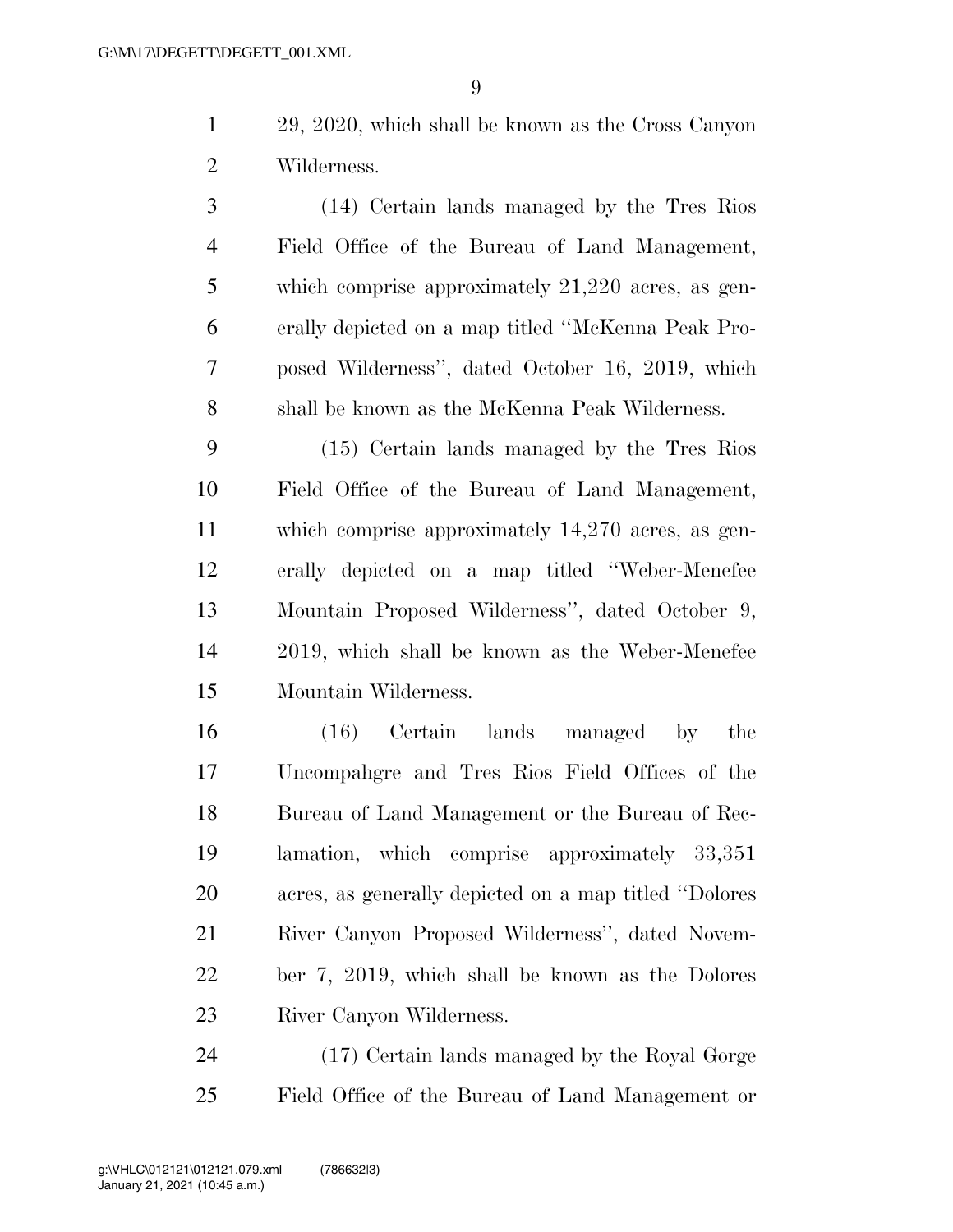29, 2020, which shall be known as the Cross Canyon Wilderness.

 (14) Certain lands managed by the Tres Rios Field Office of the Bureau of Land Management, which comprise approximately 21,220 acres, as gen- erally depicted on a map titled ''McKenna Peak Pro- posed Wilderness'', dated October 16, 2019, which shall be known as the McKenna Peak Wilderness.

 (15) Certain lands managed by the Tres Rios Field Office of the Bureau of Land Management, which comprise approximately 14,270 acres, as gen- erally depicted on a map titled ''Weber-Menefee Mountain Proposed Wilderness'', dated October 9, 2019, which shall be known as the Weber-Menefee Mountain Wilderness.

 (16) Certain lands managed by the Uncompahgre and Tres Rios Field Offices of the Bureau of Land Management or the Bureau of Rec- lamation, which comprise approximately 33,351 acres, as generally depicted on a map titled ''Dolores River Canyon Proposed Wilderness'', dated Novem- ber 7, 2019, which shall be known as the Dolores River Canyon Wilderness.

 (17) Certain lands managed by the Royal Gorge Field Office of the Bureau of Land Management or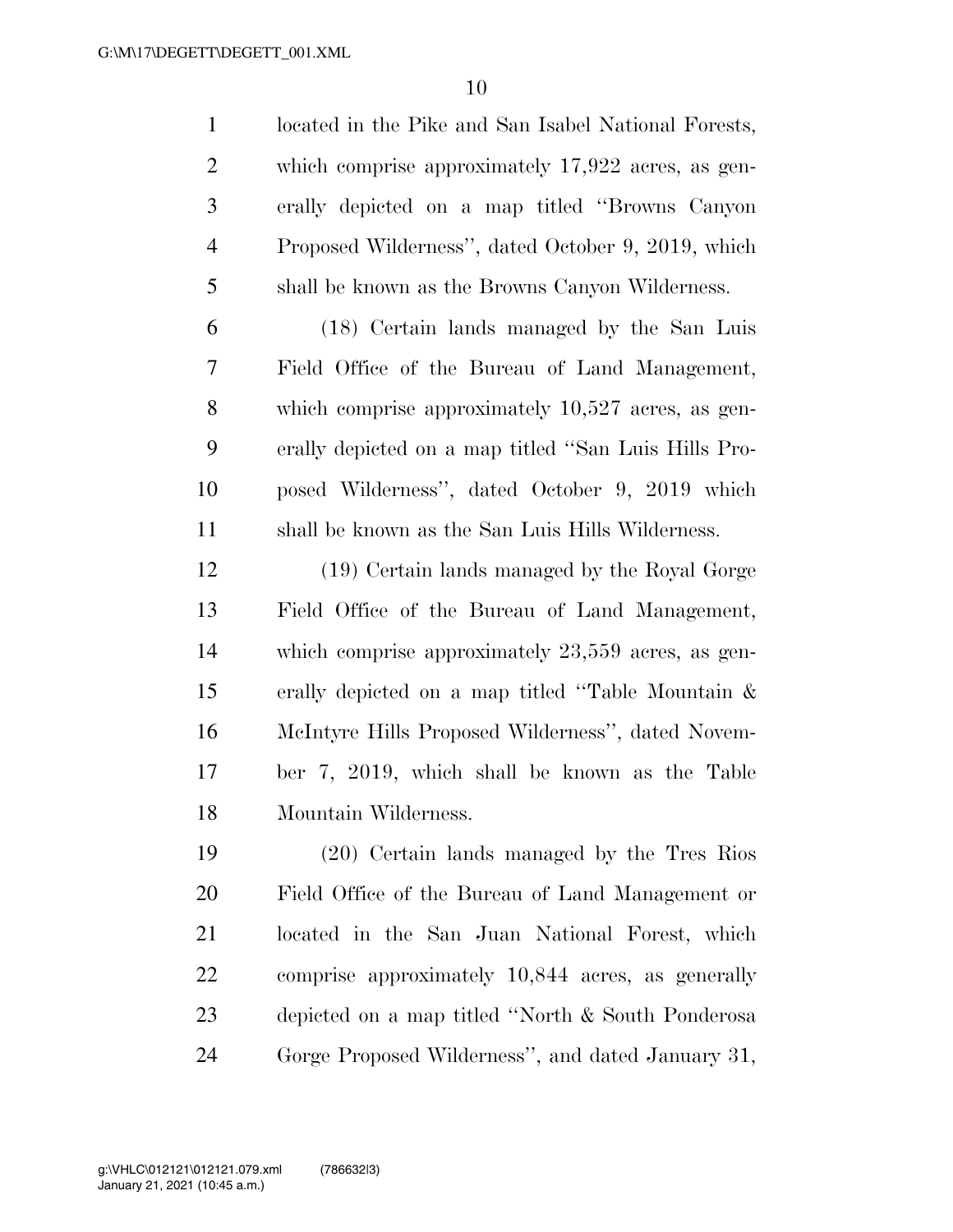located in the Pike and San Isabel National Forests, which comprise approximately 17,922 acres, as gen- erally depicted on a map titled ''Browns Canyon Proposed Wilderness'', dated October 9, 2019, which shall be known as the Browns Canyon Wilderness.

 (18) Certain lands managed by the San Luis Field Office of the Bureau of Land Management, which comprise approximately 10,527 acres, as gen- erally depicted on a map titled ''San Luis Hills Pro- posed Wilderness'', dated October 9, 2019 which shall be known as the San Luis Hills Wilderness.

 (19) Certain lands managed by the Royal Gorge Field Office of the Bureau of Land Management, which comprise approximately 23,559 acres, as gen- erally depicted on a map titled ''Table Mountain & McIntyre Hills Proposed Wilderness'', dated Novem- ber 7, 2019, which shall be known as the Table Mountain Wilderness.

 (20) Certain lands managed by the Tres Rios Field Office of the Bureau of Land Management or located in the San Juan National Forest, which comprise approximately 10,844 acres, as generally depicted on a map titled ''North & South Ponderosa Gorge Proposed Wilderness'', and dated January 31,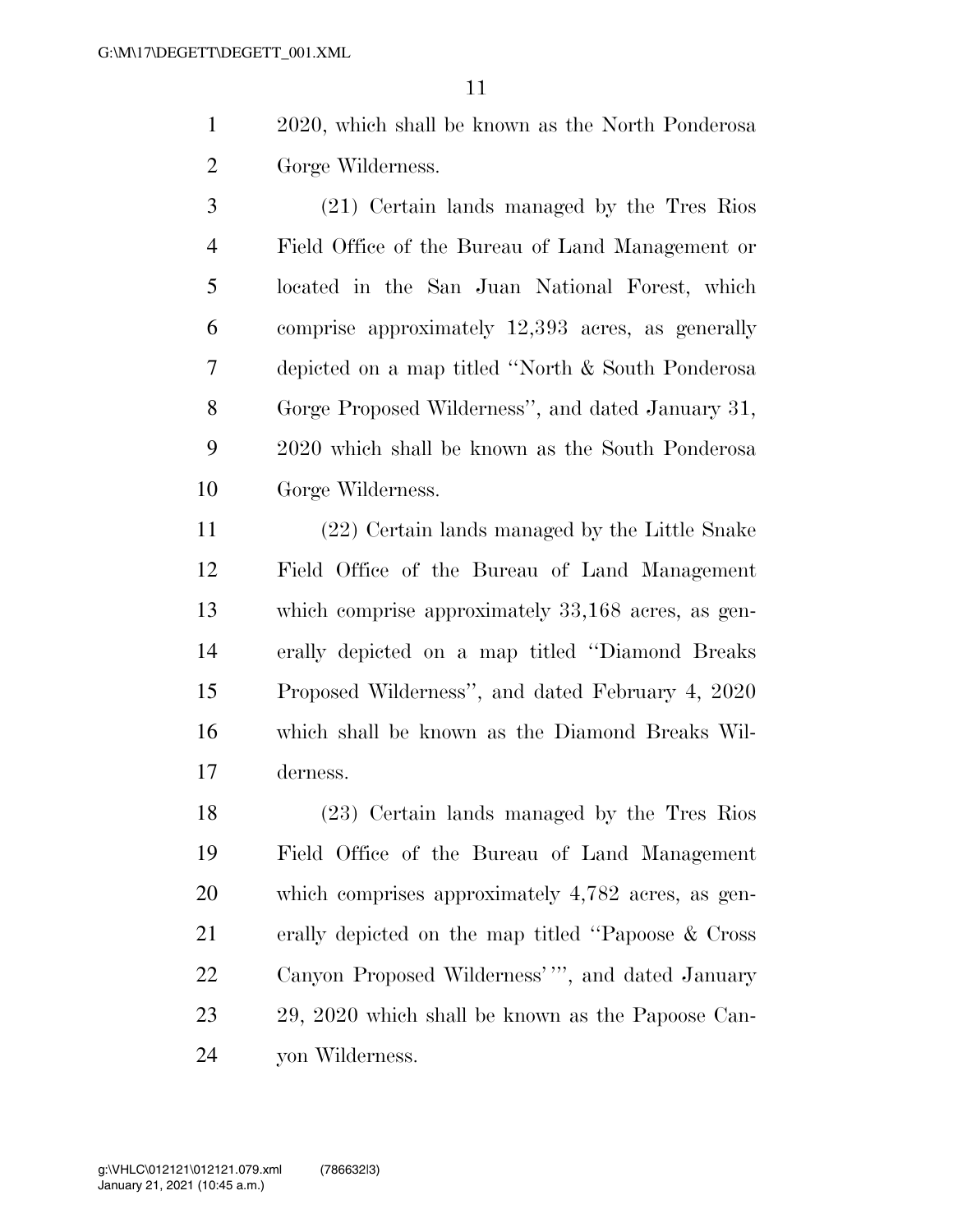- 2020, which shall be known as the North Ponderosa Gorge Wilderness.
- (21) Certain lands managed by the Tres Rios Field Office of the Bureau of Land Management or located in the San Juan National Forest, which comprise approximately 12,393 acres, as generally depicted on a map titled ''North & South Ponderosa Gorge Proposed Wilderness'', and dated January 31, 2020 which shall be known as the South Ponderosa Gorge Wilderness.

 (22) Certain lands managed by the Little Snake Field Office of the Bureau of Land Management which comprise approximately 33,168 acres, as gen- erally depicted on a map titled ''Diamond Breaks Proposed Wilderness'', and dated February 4, 2020 which shall be known as the Diamond Breaks Wil-derness.

 (23) Certain lands managed by the Tres Rios Field Office of the Bureau of Land Management which comprises approximately 4,782 acres, as gen- erally depicted on the map titled ''Papoose & Cross Canyon Proposed Wilderness' ''', and dated January 29, 2020 which shall be known as the Papoose Can-yon Wilderness.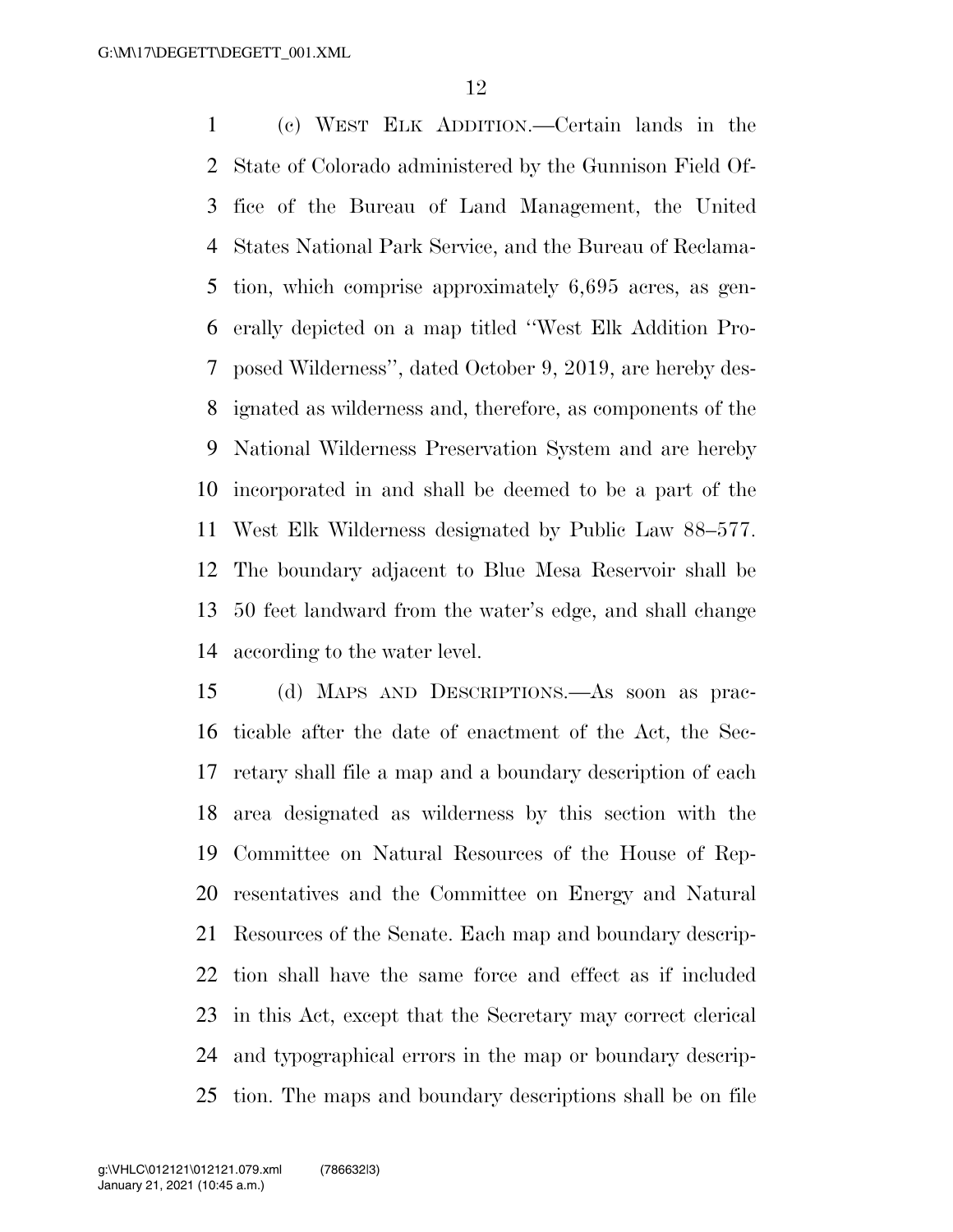(c) WEST ELK ADDITION.—Certain lands in the State of Colorado administered by the Gunnison Field Of- fice of the Bureau of Land Management, the United States National Park Service, and the Bureau of Reclama- tion, which comprise approximately 6,695 acres, as gen- erally depicted on a map titled ''West Elk Addition Pro- posed Wilderness'', dated October 9, 2019, are hereby des- ignated as wilderness and, therefore, as components of the National Wilderness Preservation System and are hereby incorporated in and shall be deemed to be a part of the West Elk Wilderness designated by Public Law 88–577. The boundary adjacent to Blue Mesa Reservoir shall be 50 feet landward from the water's edge, and shall change according to the water level.

 (d) MAPS AND DESCRIPTIONS.—As soon as prac- ticable after the date of enactment of the Act, the Sec- retary shall file a map and a boundary description of each area designated as wilderness by this section with the Committee on Natural Resources of the House of Rep- resentatives and the Committee on Energy and Natural Resources of the Senate. Each map and boundary descrip- tion shall have the same force and effect as if included in this Act, except that the Secretary may correct clerical and typographical errors in the map or boundary descrip-tion. The maps and boundary descriptions shall be on file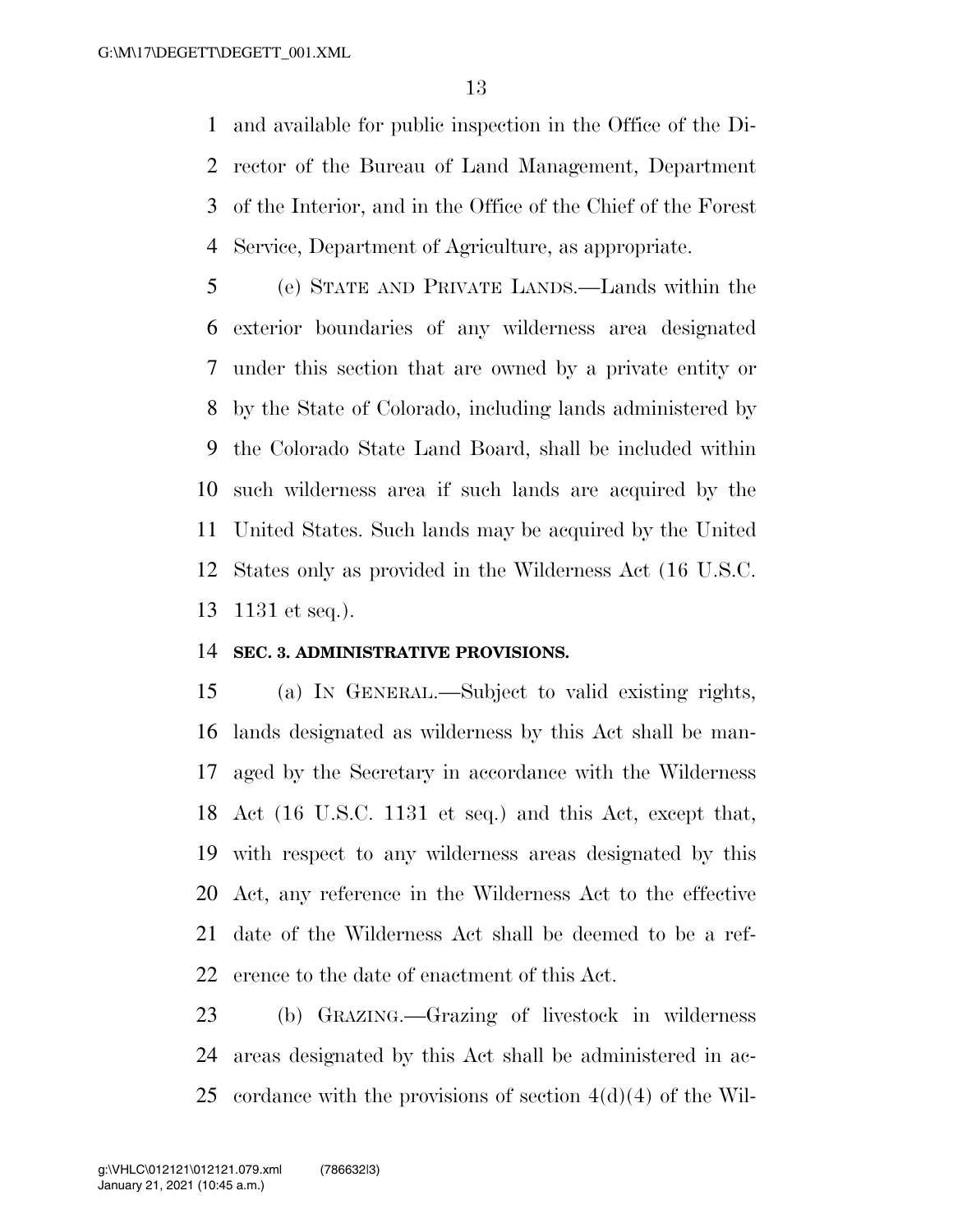and available for public inspection in the Office of the Di- rector of the Bureau of Land Management, Department of the Interior, and in the Office of the Chief of the Forest Service, Department of Agriculture, as appropriate.

 (e) STATE AND PRIVATE LANDS.—Lands within the exterior boundaries of any wilderness area designated under this section that are owned by a private entity or by the State of Colorado, including lands administered by the Colorado State Land Board, shall be included within such wilderness area if such lands are acquired by the United States. Such lands may be acquired by the United States only as provided in the Wilderness Act (16 U.S.C. 1131 et seq.).

### **SEC. 3. ADMINISTRATIVE PROVISIONS.**

 (a) IN GENERAL.—Subject to valid existing rights, lands designated as wilderness by this Act shall be man- aged by the Secretary in accordance with the Wilderness Act (16 U.S.C. 1131 et seq.) and this Act, except that, with respect to any wilderness areas designated by this Act, any reference in the Wilderness Act to the effective date of the Wilderness Act shall be deemed to be a ref-erence to the date of enactment of this Act.

 (b) GRAZING.—Grazing of livestock in wilderness areas designated by this Act shall be administered in ac-cordance with the provisions of section 4(d)(4) of the Wil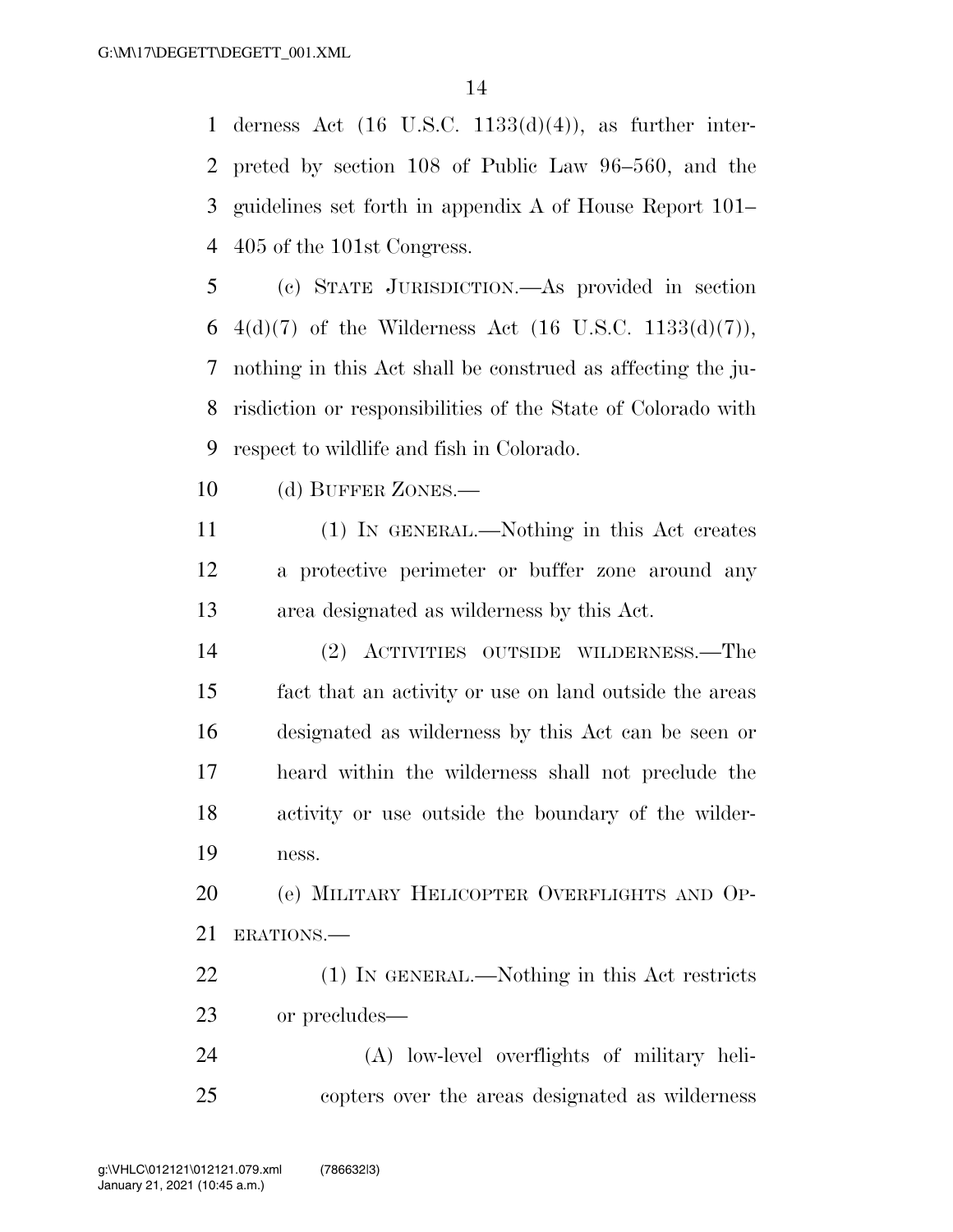derness Act (16 U.S.C. 1133(d)(4)), as further inter- preted by section 108 of Public Law 96–560, and the guidelines set forth in appendix A of House Report 101– 405 of the 101st Congress.

 (c) STATE JURISDICTION.—As provided in section 6 4(d)(7) of the Wilderness Act (16 U.S.C. 1133(d)(7)), nothing in this Act shall be construed as affecting the ju- risdiction or responsibilities of the State of Colorado with respect to wildlife and fish in Colorado.

10 (d) BUFFER ZONES.—

 (1) IN GENERAL.—Nothing in this Act creates a protective perimeter or buffer zone around any area designated as wilderness by this Act.

 (2) ACTIVITIES OUTSIDE WILDERNESS.—The fact that an activity or use on land outside the areas designated as wilderness by this Act can be seen or heard within the wilderness shall not preclude the activity or use outside the boundary of the wilder-ness.

 (e) MILITARY HELICOPTER OVERFLIGHTS AND OP-ERATIONS.—

 (1) IN GENERAL.—Nothing in this Act restricts or precludes—

 (A) low-level overflights of military heli-copters over the areas designated as wilderness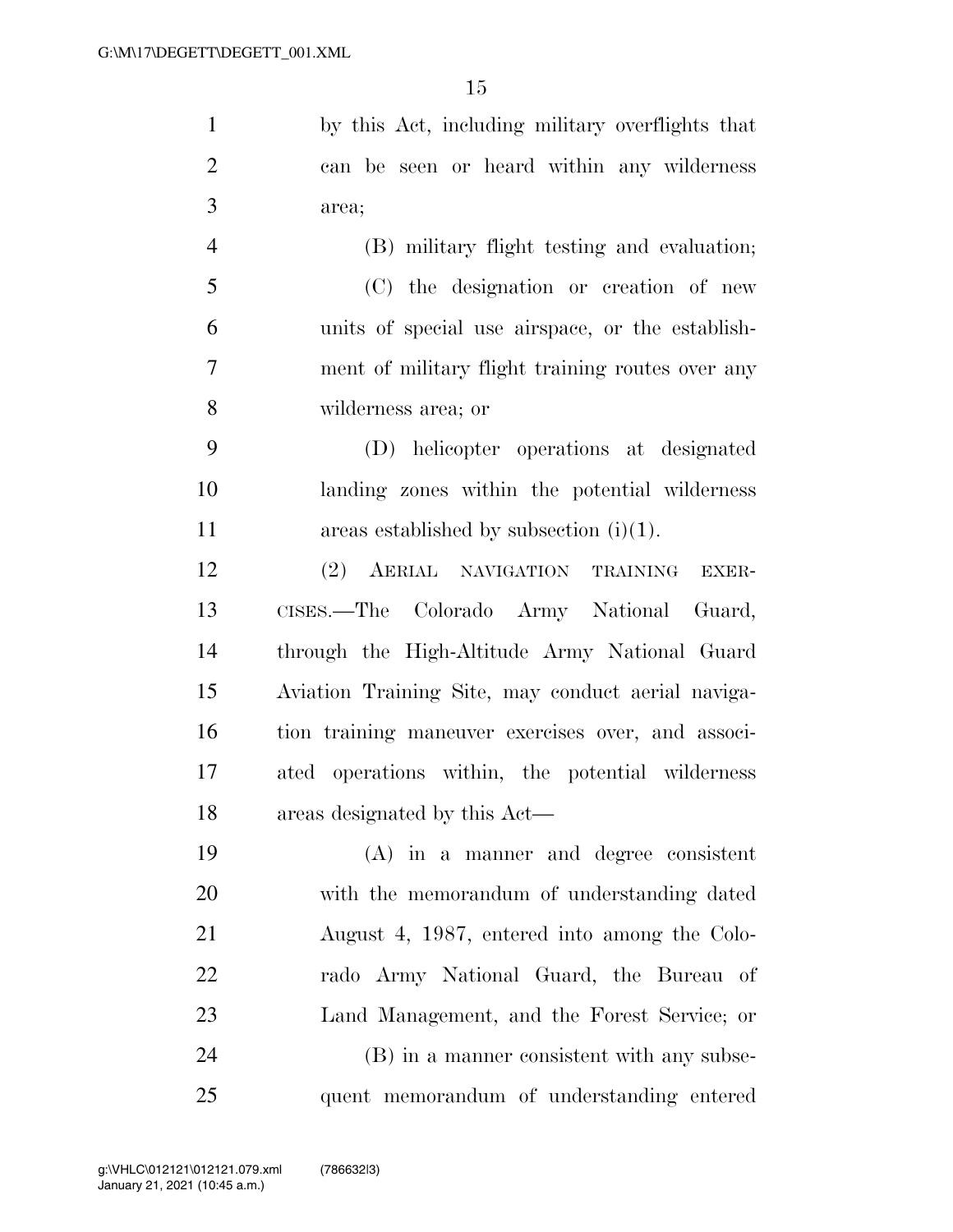by this Act, including military overflights that can be seen or heard within any wilderness area; (B) military flight testing and evaluation; (C) the designation or creation of new

 units of special use airspace, or the establish- ment of military flight training routes over any wilderness area; or

 (D) helicopter operations at designated landing zones within the potential wilderness 11 areas established by subsection (i)(1).

 (2) AERIAL NAVIGATION TRAINING EXER- CISES.—The Colorado Army National Guard, through the High-Altitude Army National Guard Aviation Training Site, may conduct aerial naviga- tion training maneuver exercises over, and associ- ated operations within, the potential wilderness areas designated by this Act—

 (A) in a manner and degree consistent with the memorandum of understanding dated August 4, 1987, entered into among the Colo- rado Army National Guard, the Bureau of Land Management, and the Forest Service; or (B) in a manner consistent with any subse-quent memorandum of understanding entered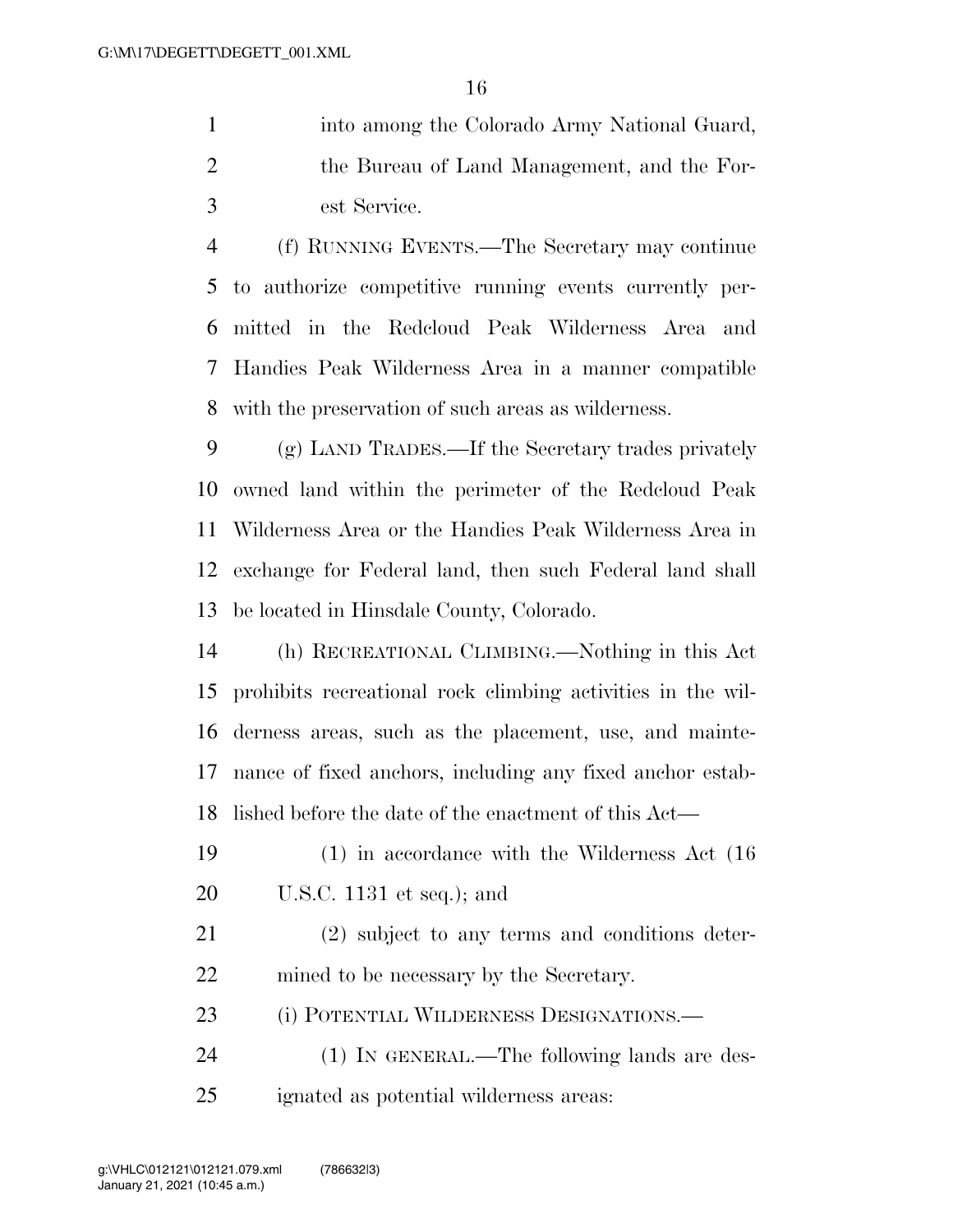|               | into among the Colorado Army National Guard, |
|---------------|----------------------------------------------|
|               | the Bureau of Land Management, and the For-  |
| $\mathcal{R}$ | est Service.                                 |

 (f) RUNNING EVENTS.—The Secretary may continue to authorize competitive running events currently per- mitted in the Redcloud Peak Wilderness Area and Handies Peak Wilderness Area in a manner compatible with the preservation of such areas as wilderness.

 (g) LAND TRADES.—If the Secretary trades privately owned land within the perimeter of the Redcloud Peak Wilderness Area or the Handies Peak Wilderness Area in exchange for Federal land, then such Federal land shall be located in Hinsdale County, Colorado.

 (h) RECREATIONAL CLIMBING.—Nothing in this Act prohibits recreational rock climbing activities in the wil- derness areas, such as the placement, use, and mainte- nance of fixed anchors, including any fixed anchor estab-lished before the date of the enactment of this Act—

 (1) in accordance with the Wilderness Act (16 U.S.C. 1131 et seq.); and

 (2) subject to any terms and conditions deter-mined to be necessary by the Secretary.

(i) POTENTIAL WILDERNESS DESIGNATIONS.—

 (1) IN GENERAL.—The following lands are des-ignated as potential wilderness areas: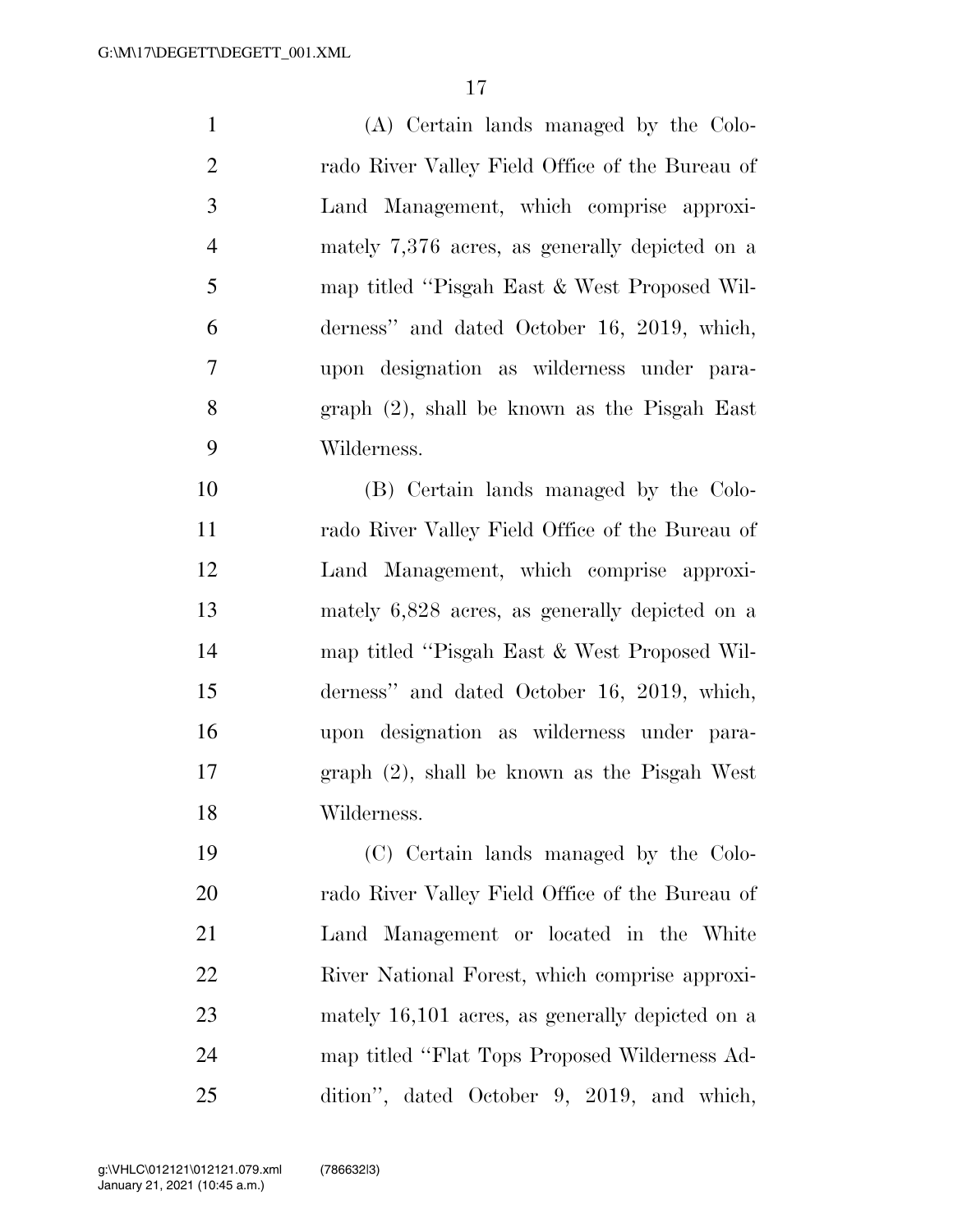(A) Certain lands managed by the Colo- rado River Valley Field Office of the Bureau of Land Management, which comprise approxi- mately 7,376 acres, as generally depicted on a map titled ''Pisgah East & West Proposed Wil- derness'' and dated October 16, 2019, which, upon designation as wilderness under para- graph (2), shall be known as the Pisgah East Wilderness.

 (B) Certain lands managed by the Colo- rado River Valley Field Office of the Bureau of Land Management, which comprise approxi- mately 6,828 acres, as generally depicted on a map titled ''Pisgah East & West Proposed Wil- derness'' and dated October 16, 2019, which, upon designation as wilderness under para- graph (2), shall be known as the Pisgah West Wilderness.

 (C) Certain lands managed by the Colo- rado River Valley Field Office of the Bureau of Land Management or located in the White River National Forest, which comprise approxi- mately 16,101 acres, as generally depicted on a map titled ''Flat Tops Proposed Wilderness Ad-dition'', dated October 9, 2019, and which,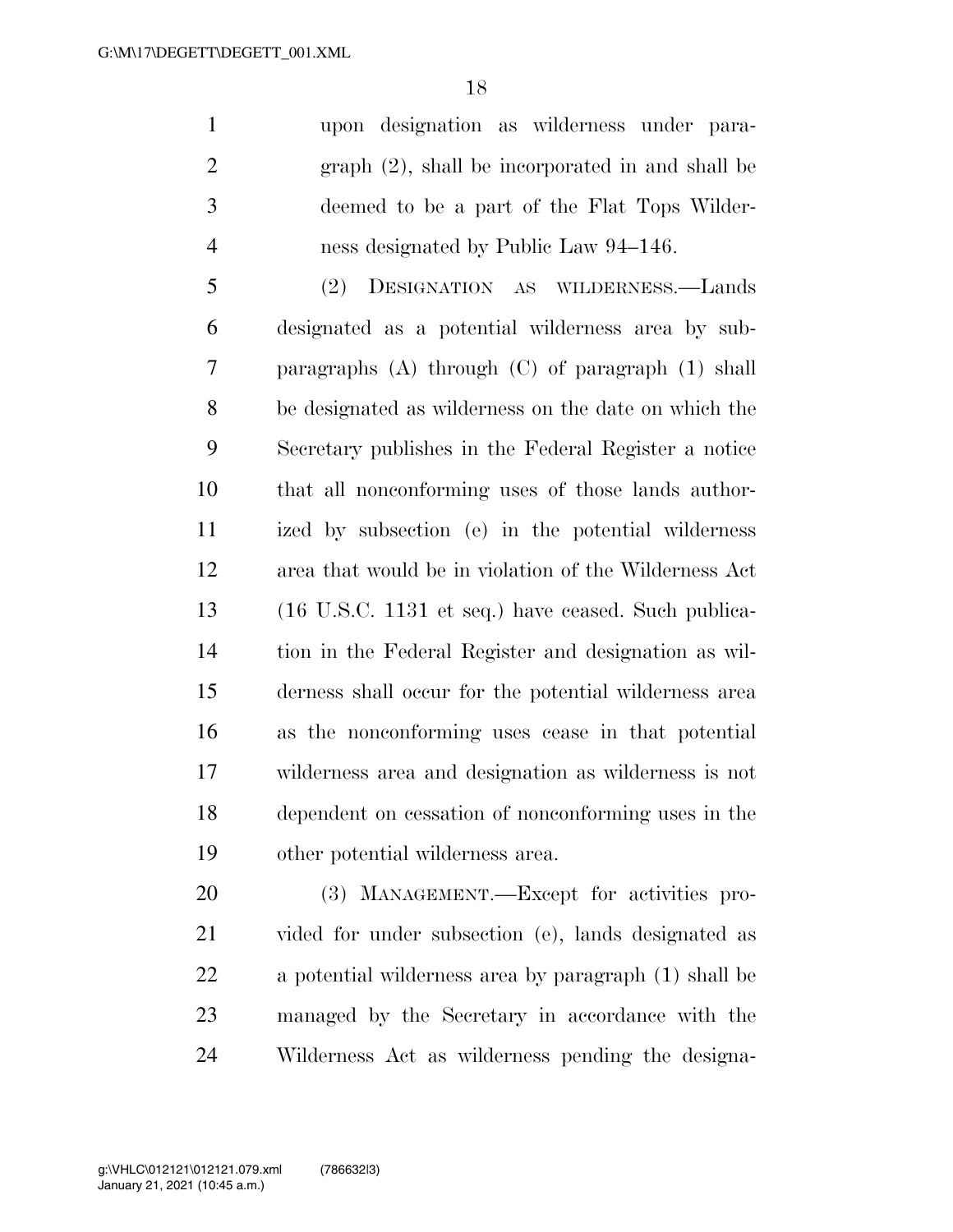upon designation as wilderness under para- graph (2), shall be incorporated in and shall be deemed to be a part of the Flat Tops Wilder-ness designated by Public Law 94–146.

 (2) DESIGNATION AS WILDERNESS.—Lands designated as a potential wilderness area by sub- paragraphs (A) through (C) of paragraph (1) shall be designated as wilderness on the date on which the Secretary publishes in the Federal Register a notice that all nonconforming uses of those lands author- ized by subsection (e) in the potential wilderness area that would be in violation of the Wilderness Act (16 U.S.C. 1131 et seq.) have ceased. Such publica- tion in the Federal Register and designation as wil- derness shall occur for the potential wilderness area as the nonconforming uses cease in that potential wilderness area and designation as wilderness is not dependent on cessation of nonconforming uses in the other potential wilderness area.

 (3) MANAGEMENT.—Except for activities pro- vided for under subsection (e), lands designated as a potential wilderness area by paragraph (1) shall be managed by the Secretary in accordance with the Wilderness Act as wilderness pending the designa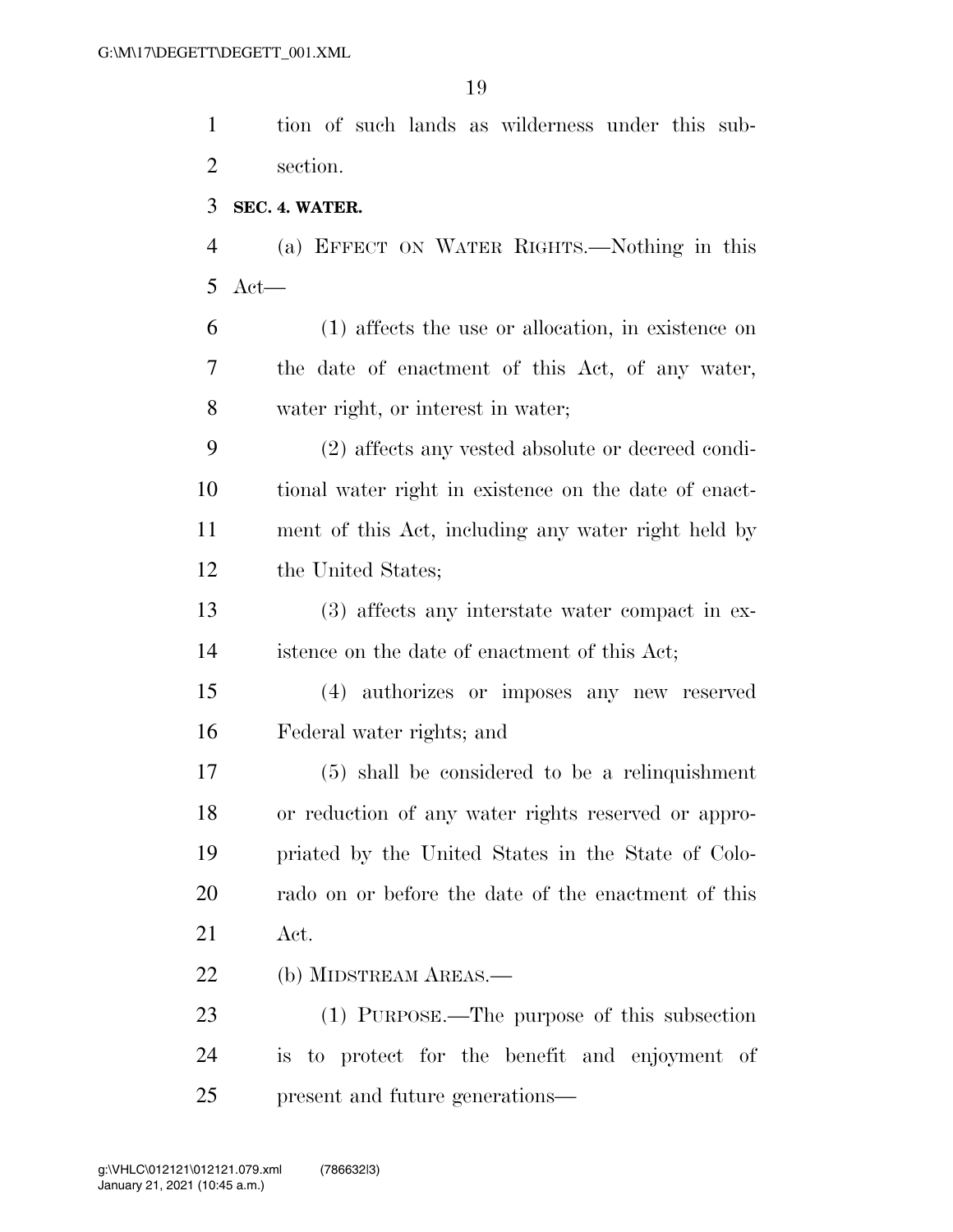tion of such lands as wilderness under this sub- section. **SEC. 4. WATER.** 

 (a) EFFECT ON WATER RIGHTS.—Nothing in this Act—

 (1) affects the use or allocation, in existence on the date of enactment of this Act, of any water, water right, or interest in water;

 (2) affects any vested absolute or decreed condi- tional water right in existence on the date of enact- ment of this Act, including any water right held by the United States;

 (3) affects any interstate water compact in ex-istence on the date of enactment of this Act;

 (4) authorizes or imposes any new reserved Federal water rights; and

 (5) shall be considered to be a relinquishment or reduction of any water rights reserved or appro- priated by the United States in the State of Colo- rado on or before the date of the enactment of this Act.

(b) MIDSTREAM AREAS.—

 (1) PURPOSE.—The purpose of this subsection is to protect for the benefit and enjoyment of present and future generations—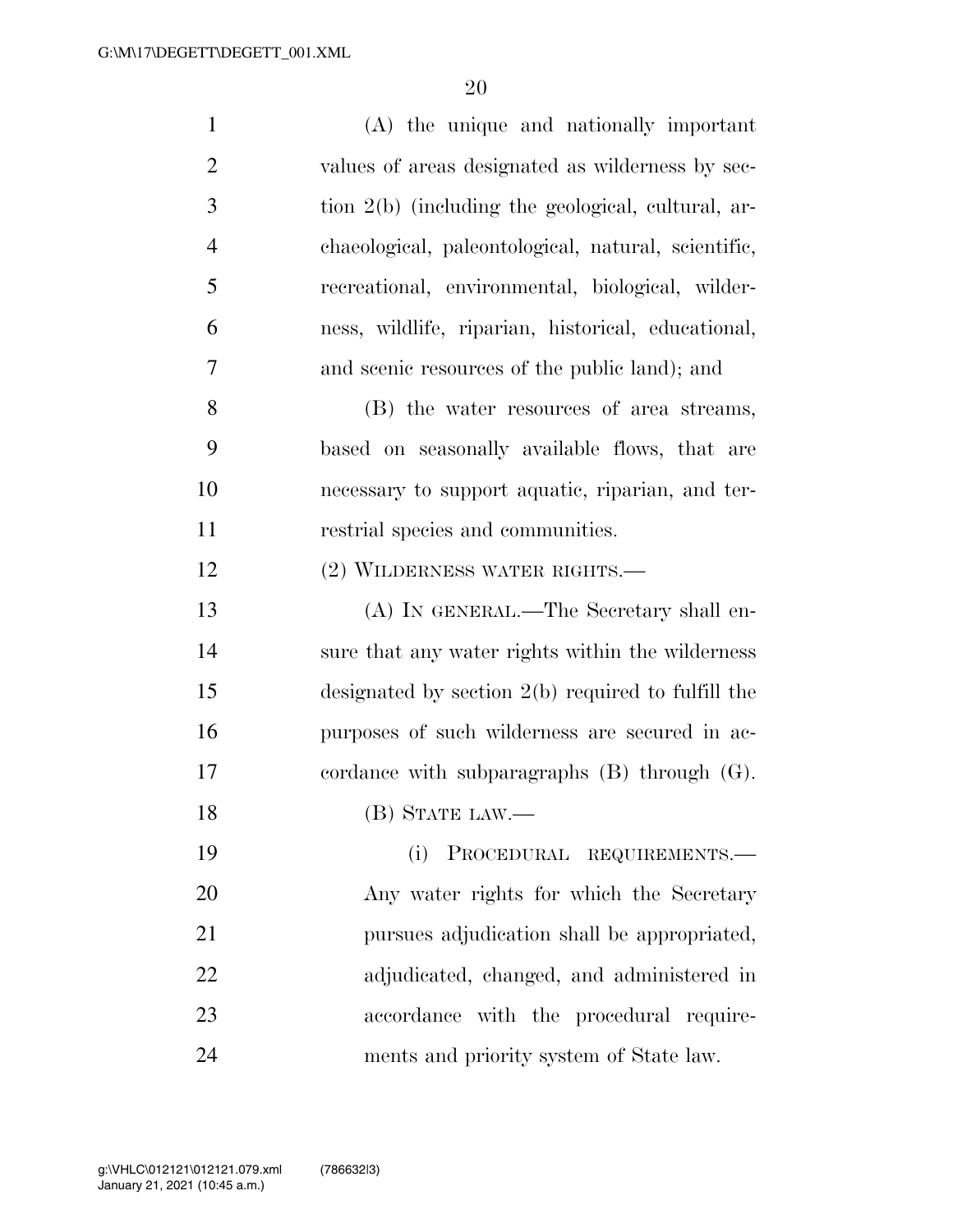| $\mathbf{1}$   | (A) the unique and nationally important              |
|----------------|------------------------------------------------------|
| $\overline{2}$ | values of areas designated as wilderness by sec-     |
| 3              | tion 2(b) (including the geological, cultural, ar-   |
| $\overline{4}$ | chaeological, paleontological, natural, scientific,  |
| 5              | recreational, environmental, biological, wilder-     |
| 6              | ness, wildlife, riparian, historical, educational,   |
| 7              | and scenic resources of the public land); and        |
| 8              | (B) the water resources of area streams,             |
| 9              | based on seasonally available flows, that are        |
| 10             | necessary to support aquatic, riparian, and ter-     |
| 11             | restrial species and communities.                    |
| 12             | (2) WILDERNESS WATER RIGHTS.—                        |
| 13             | (A) IN GENERAL.—The Secretary shall en-              |
| 14             | sure that any water rights within the wilderness     |
| 15             | designated by section $2(b)$ required to fulfill the |
| 16             | purposes of such wilderness are secured in ac-       |
| 17             | cordance with subparagraphs $(B)$ through $(G)$ .    |
| 18             | (B) STATE LAW.—                                      |
| 19             | (i)<br>PROCEDURAL REQUIREMENTS.-                     |
| 20             | Any water rights for which the Secretary             |
| 21             | pursues adjudication shall be appropriated,          |
| 22             | adjudicated, changed, and administered in            |
| 23             | accordance with the procedural require-              |
| 24             | ments and priority system of State law.              |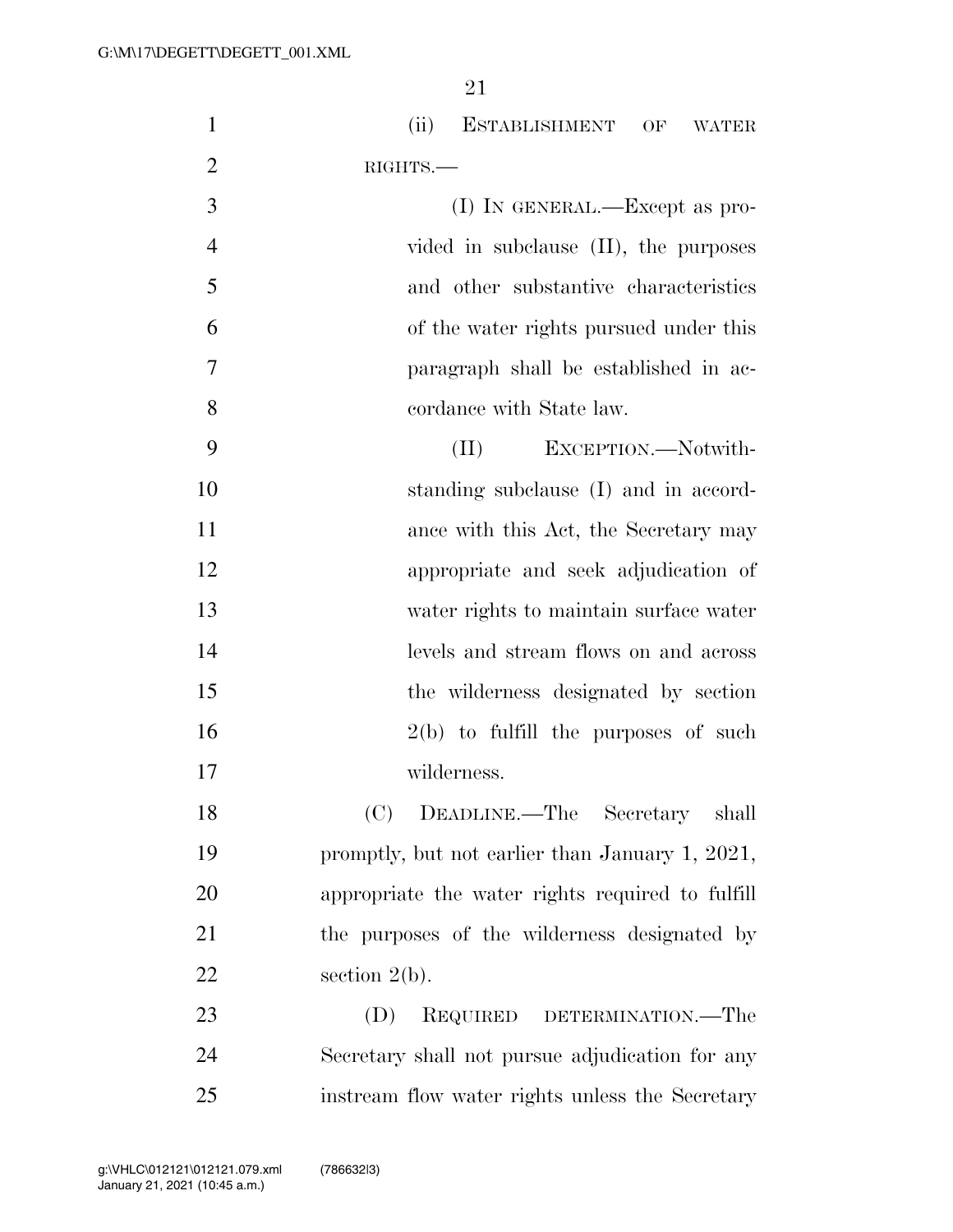| $\mathbf{1}$   | (ii)<br>ESTABLISHMENT OF WATER                   |
|----------------|--------------------------------------------------|
| $\overline{2}$ | RIGHTS.                                          |
| 3              | $(I)$ In GENERAL.—Except as pro-                 |
| $\overline{4}$ | vided in subclause $(II)$ , the purposes         |
| 5              | and other substantive characteristics            |
| 6              | of the water rights pursued under this           |
| 7              | paragraph shall be established in ac-            |
| 8              | cordance with State law.                         |
| 9              | EXCEPTION.-Notwith-<br>(II)                      |
| 10             | standing subclause (I) and in accord-            |
| 11             | ance with this Act, the Secretary may            |
| 12             | appropriate and seek adjudication of             |
| 13             | water rights to maintain surface water           |
| 14             | levels and stream flows on and across            |
| 15             | the wilderness designated by section             |
| 16             | $2(b)$ to fulfill the purposes of such           |
| 17             | wilderness.                                      |
| 18             | DEADLINE.—The Secretary<br>(C)<br>shall          |
| 19             | promptly, but not earlier than January 1, 2021,  |
| 20             | appropriate the water rights required to fulfill |
| 21             | the purposes of the wilderness designated by     |
| 22             | section $2(b)$ .                                 |
| 23             | (D)<br>REQUIRED DETERMINATION.—The               |
| 24             | Secretary shall not pursue adjudication for any  |
| 25             | instream flow water rights unless the Secretary  |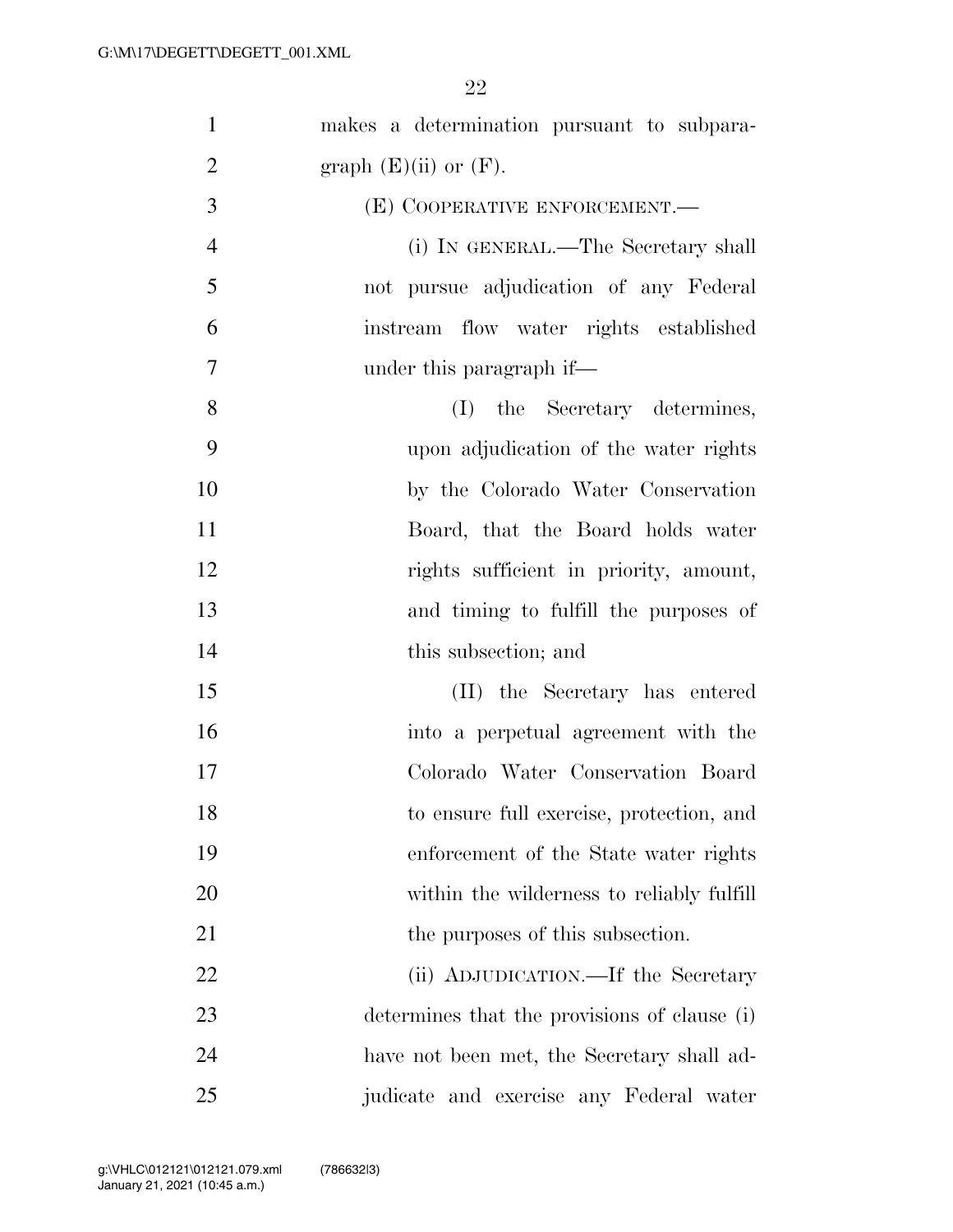| $\mathbf{1}$   | makes a determination pursuant to subpara-   |
|----------------|----------------------------------------------|
| $\overline{2}$ | graph $(E)(ii)$ or $(F)$ .                   |
|                |                                              |
| 3              | (E) COOPERATIVE ENFORCEMENT.-                |
| $\overline{4}$ | (i) IN GENERAL.—The Secretary shall          |
| 5              | not pursue adjudication of any Federal       |
| 6              | instream flow water rights established       |
| $\overline{7}$ | under this paragraph if—                     |
| 8              | (I) the Secretary determines,                |
| 9              | upon adjudication of the water rights        |
| 10             | by the Colorado Water Conservation           |
| 11             | Board, that the Board holds water            |
| 12             | rights sufficient in priority, amount,       |
| 13             | and timing to fulfill the purposes of        |
| 14             | this subsection; and                         |
| 15             | (II) the Secretary has entered               |
| 16             | into a perpetual agreement with the          |
| 17             | Colorado Water Conservation Board            |
| 18             | to ensure full exercise, protection, and     |
| 19             | enforcement of the State water rights        |
| 20             | within the wilderness to reliably fulfill    |
| 21             | the purposes of this subsection.             |
| 22             | (ii) ADJUDICATION.—If the Secretary          |
| 23             | determines that the provisions of clause (i) |
| 24             | have not been met, the Secretary shall ad-   |
| 25             | judicate and exercise any Federal water      |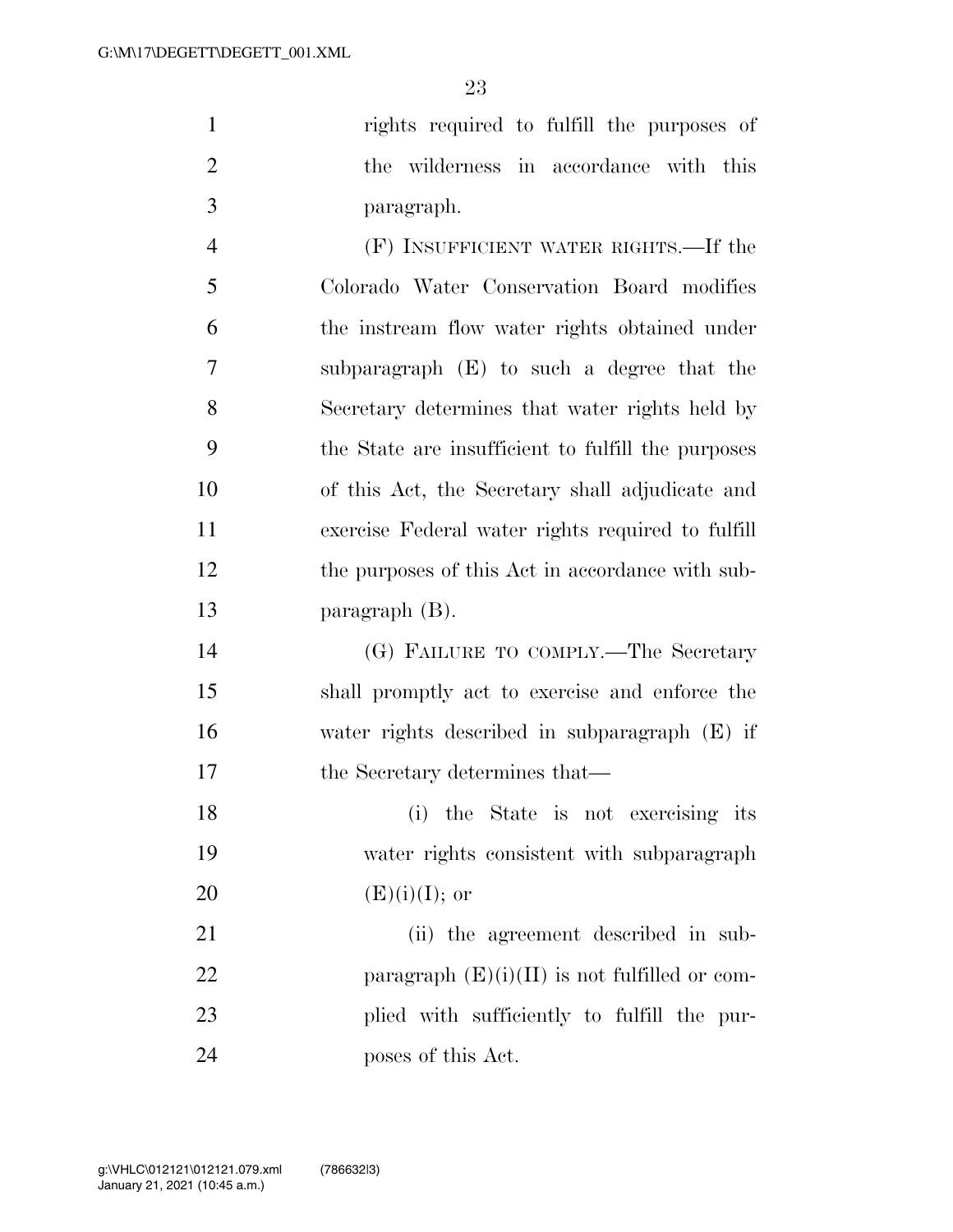rights required to fulfill the purposes of the wilderness in accordance with this paragraph.

 (F) INSUFFICIENT WATER RIGHTS.—If the Colorado Water Conservation Board modifies the instream flow water rights obtained under subparagraph (E) to such a degree that the Secretary determines that water rights held by the State are insufficient to fulfill the purposes of this Act, the Secretary shall adjudicate and exercise Federal water rights required to fulfill the purposes of this Act in accordance with sub-paragraph (B).

 (G) FAILURE TO COMPLY.—The Secretary shall promptly act to exercise and enforce the water rights described in subparagraph (E) if 17 the Secretary determines that—

 (i) the State is not exercising its water rights consistent with subparagraph 20  $(E)(i)(I);$  or

21 (ii) the agreement described in sub-22 paragraph  $(E)(i)(II)$  is not fulfilled or com- plied with sufficiently to fulfill the pur-poses of this Act.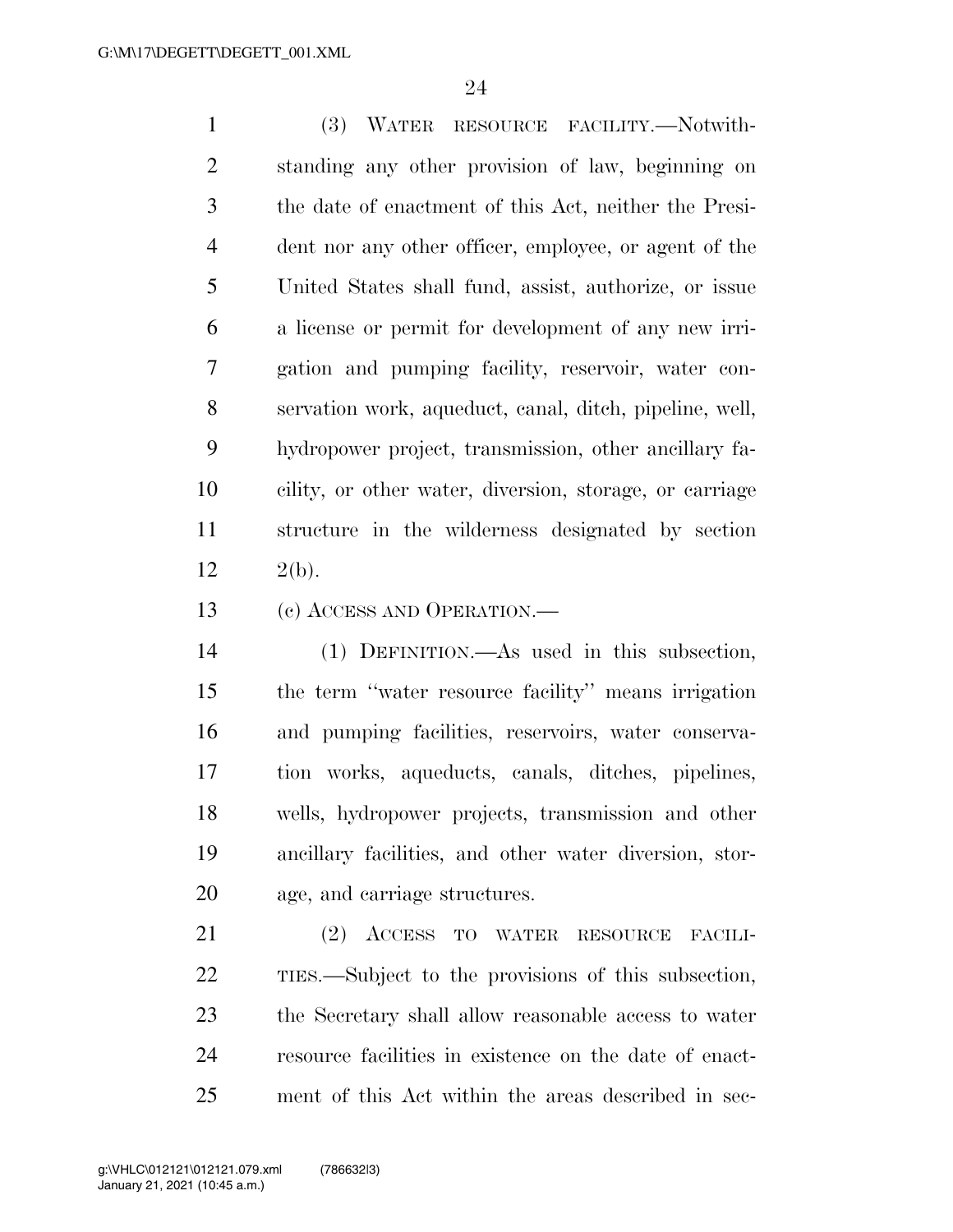(3) WATER RESOURCE FACILITY.—Notwith- standing any other provision of law, beginning on the date of enactment of this Act, neither the Presi- dent nor any other officer, employee, or agent of the United States shall fund, assist, authorize, or issue a license or permit for development of any new irri- gation and pumping facility, reservoir, water con- servation work, aqueduct, canal, ditch, pipeline, well, hydropower project, transmission, other ancillary fa- cility, or other water, diversion, storage, or carriage structure in the wilderness designated by section 12  $2(b)$ .

(c) ACCESS AND OPERATION.—

 (1) DEFINITION.—As used in this subsection, the term ''water resource facility'' means irrigation and pumping facilities, reservoirs, water conserva- tion works, aqueducts, canals, ditches, pipelines, wells, hydropower projects, transmission and other ancillary facilities, and other water diversion, stor-age, and carriage structures.

 (2) ACCESS TO WATER RESOURCE FACILI- TIES.—Subject to the provisions of this subsection, the Secretary shall allow reasonable access to water resource facilities in existence on the date of enact-ment of this Act within the areas described in sec-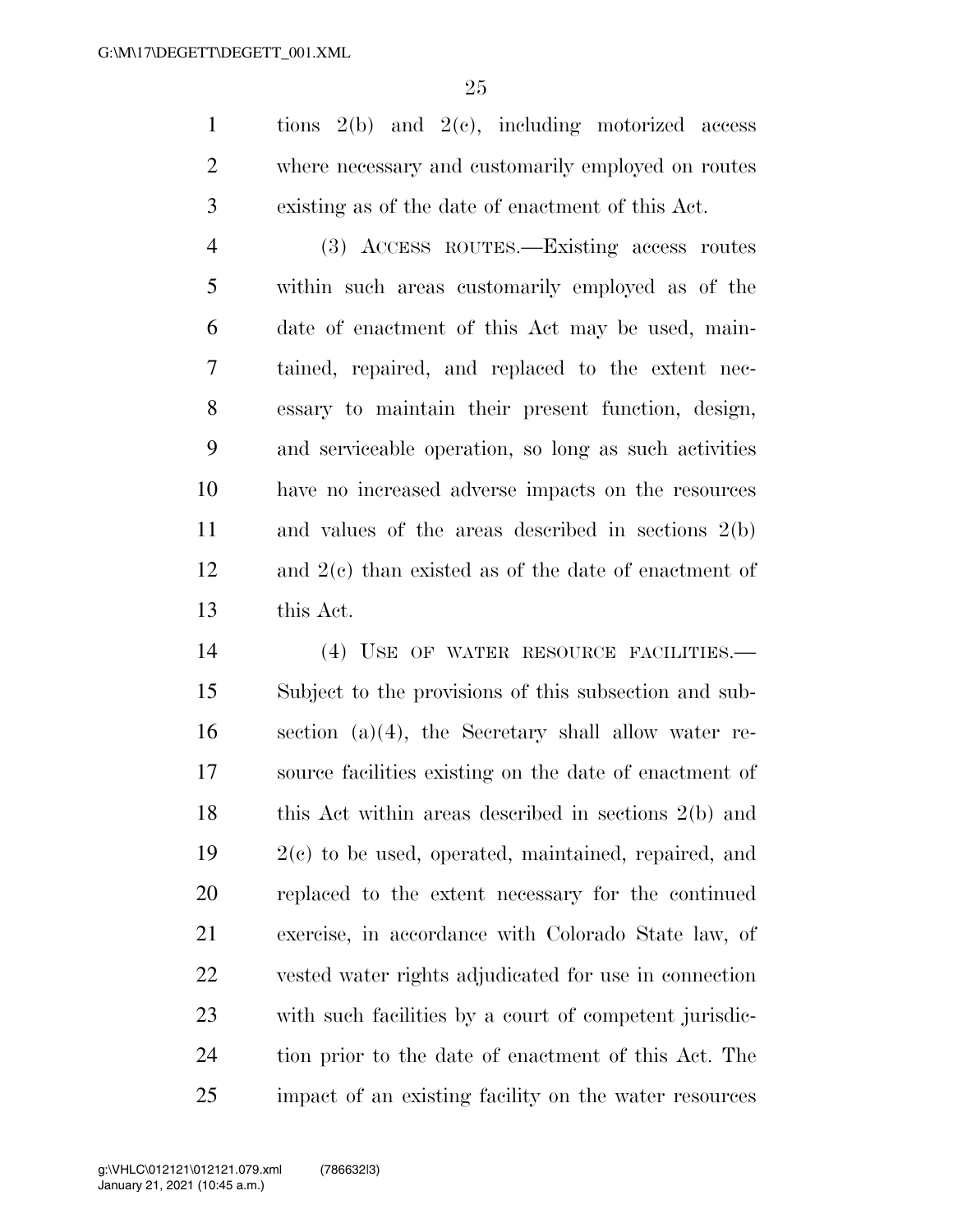tions 2(b) and 2(c), including motorized access where necessary and customarily employed on routes existing as of the date of enactment of this Act.

 (3) ACCESS ROUTES.—Existing access routes within such areas customarily employed as of the date of enactment of this Act may be used, main- tained, repaired, and replaced to the extent nec- essary to maintain their present function, design, and serviceable operation, so long as such activities have no increased adverse impacts on the resources and values of the areas described in sections 2(b) and 2(c) than existed as of the date of enactment of this Act.

14 (4) USE OF WATER RESOURCE FACILITIES. Subject to the provisions of this subsection and sub- section (a)(4), the Secretary shall allow water re- source facilities existing on the date of enactment of 18 this Act within areas described in sections 2(b) and 2(c) to be used, operated, maintained, repaired, and replaced to the extent necessary for the continued exercise, in accordance with Colorado State law, of vested water rights adjudicated for use in connection with such facilities by a court of competent jurisdic- tion prior to the date of enactment of this Act. The impact of an existing facility on the water resources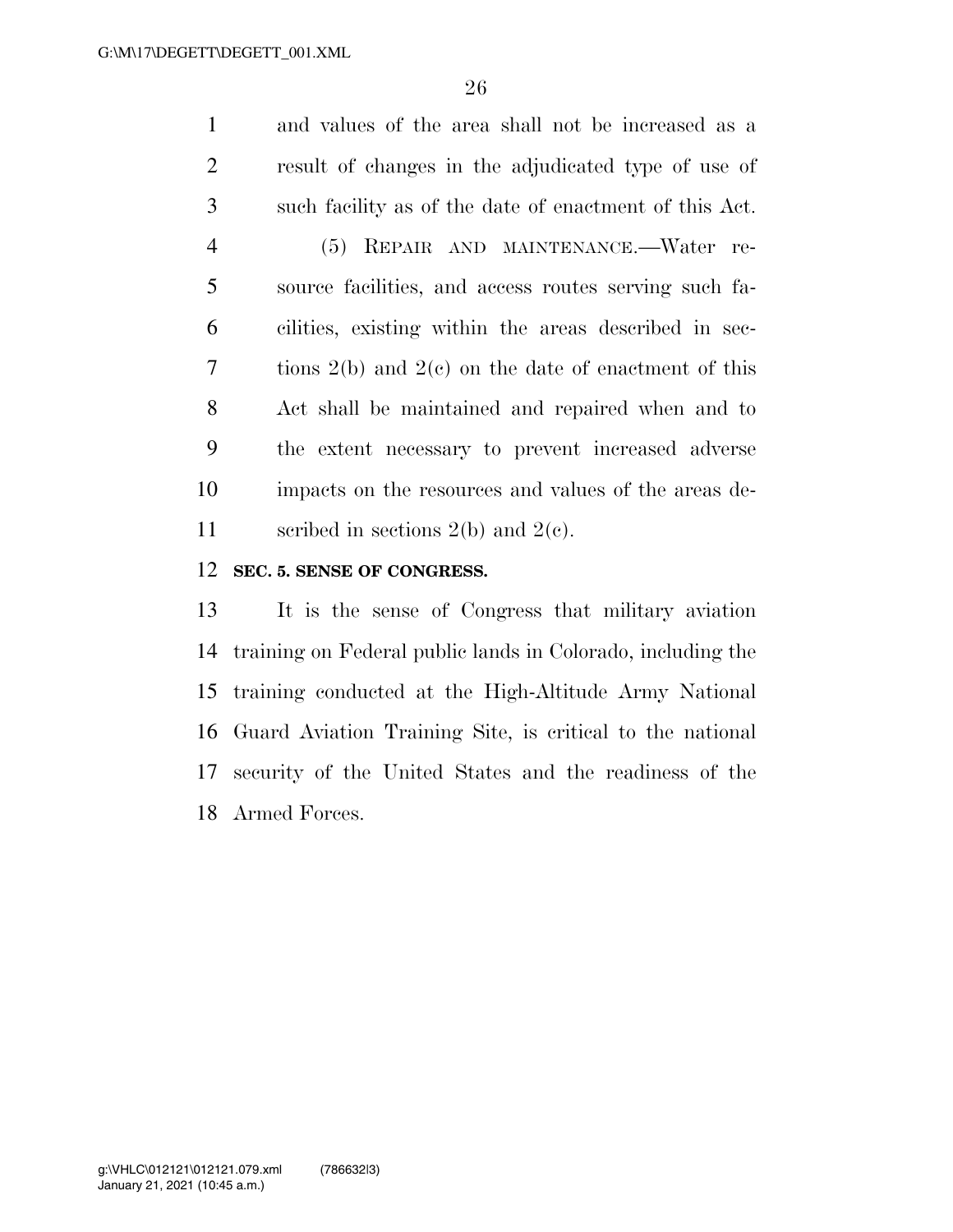and values of the area shall not be increased as a result of changes in the adjudicated type of use of such facility as of the date of enactment of this Act. (5) REPAIR AND MAINTENANCE.—Water re- source facilities, and access routes serving such fa- cilities, existing within the areas described in sec- tions 2(b) and 2(c) on the date of enactment of this Act shall be maintained and repaired when and to the extent necessary to prevent increased adverse impacts on the resources and values of the areas de-11 sections 2(b) and 2(c).

### **SEC. 5. SENSE OF CONGRESS.**

 It is the sense of Congress that military aviation training on Federal public lands in Colorado, including the training conducted at the High-Altitude Army National Guard Aviation Training Site, is critical to the national security of the United States and the readiness of the Armed Forces.